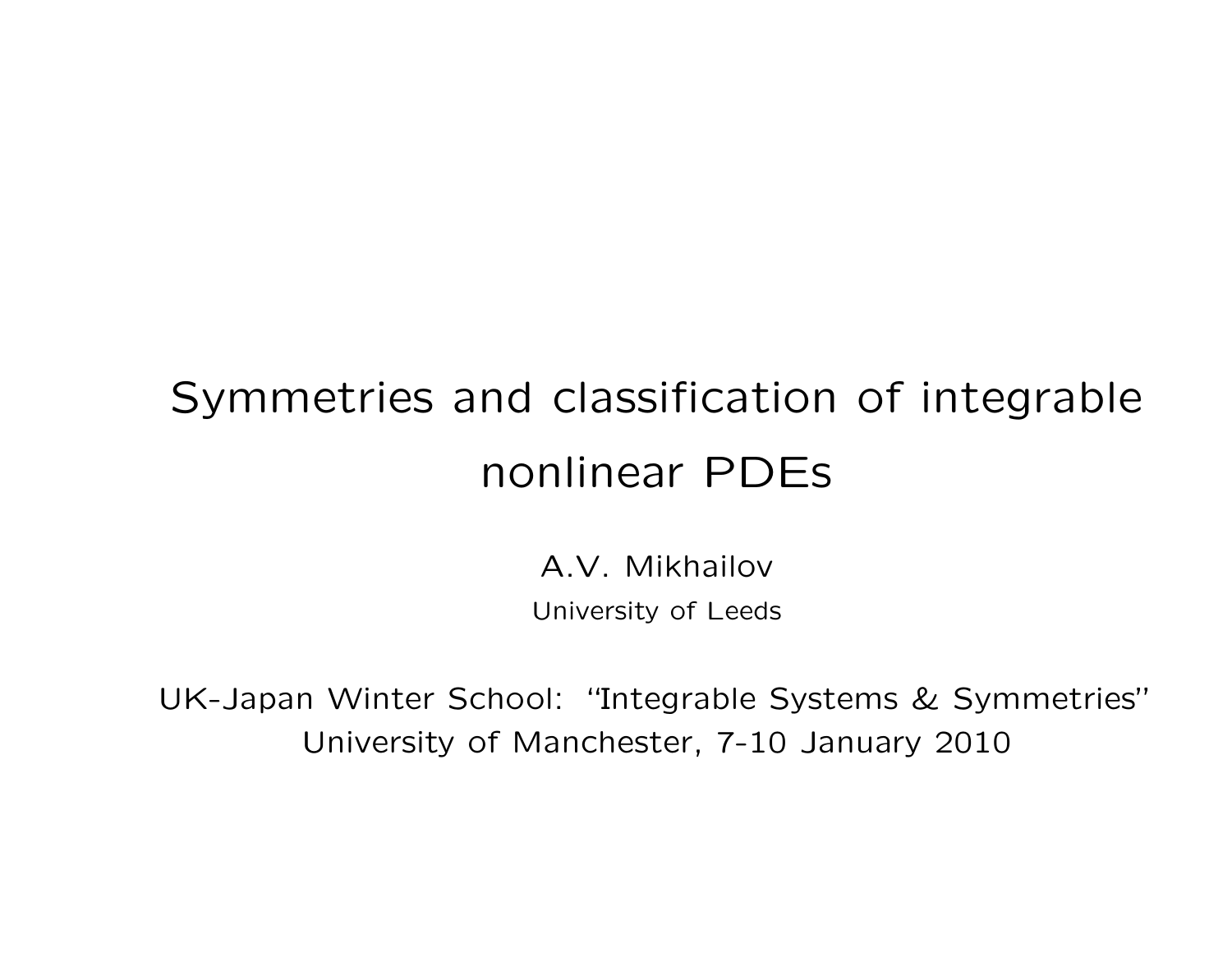# Symmetries and classification of integrable nonlinear PDEs

A.V. Mikhailov University of Leeds

UK-Japan Winter School: "Integrable Systems & Symmetries" University of Manchester, 7-10 January 2010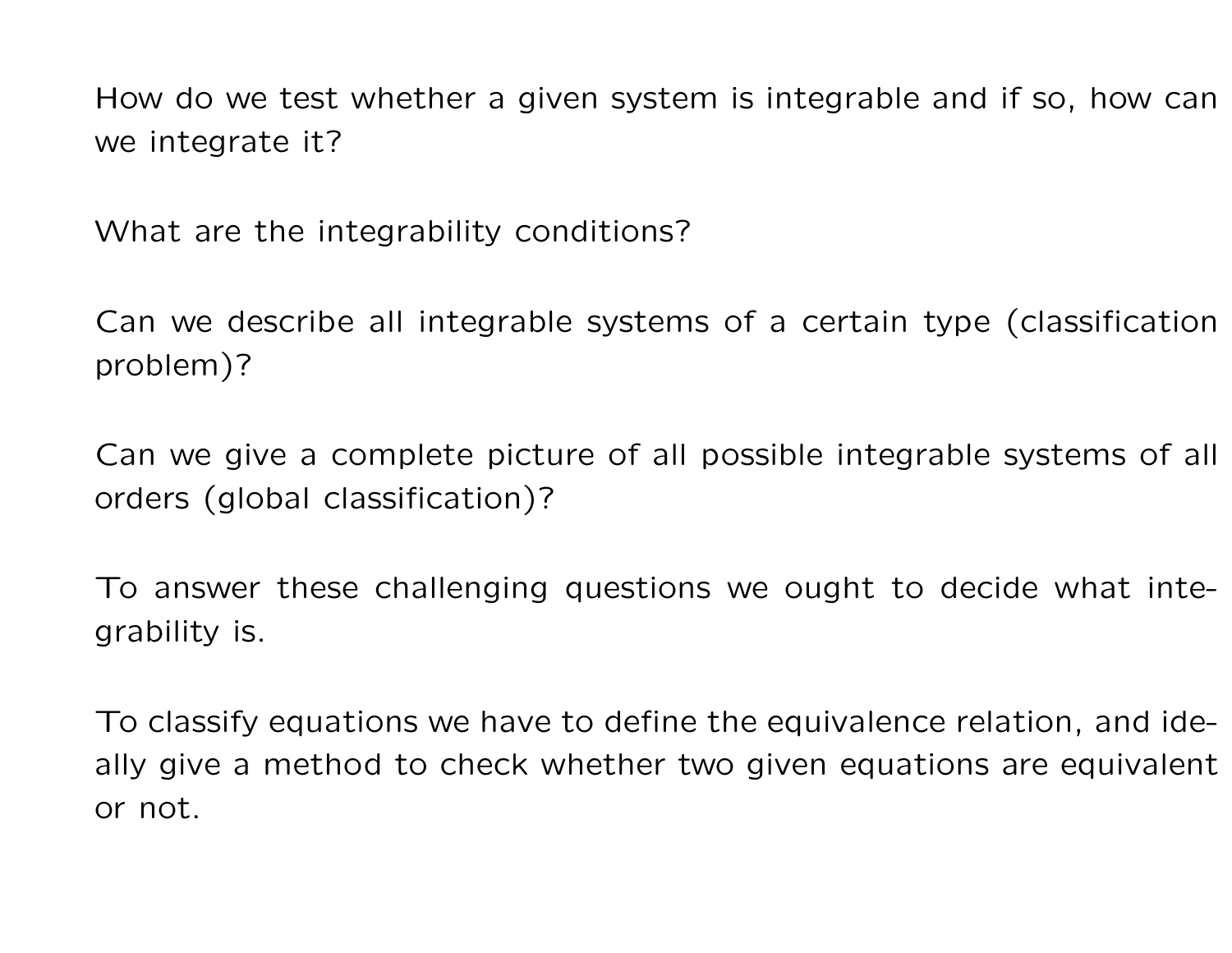How do we test whether a given system is integrable and if so, how can we integrate it?

What are the integrability conditions?

Can we describe all integrable systems of a certain type (classification problem)?

Can we give a complete picture of all possible integrable systems of all orders (global classification)?

To answer these challenging questions we ought to decide what integrability is.

To classify equations we have to define the equivalence relation, and ideally give a method to check whether two given equations are equivalent or not.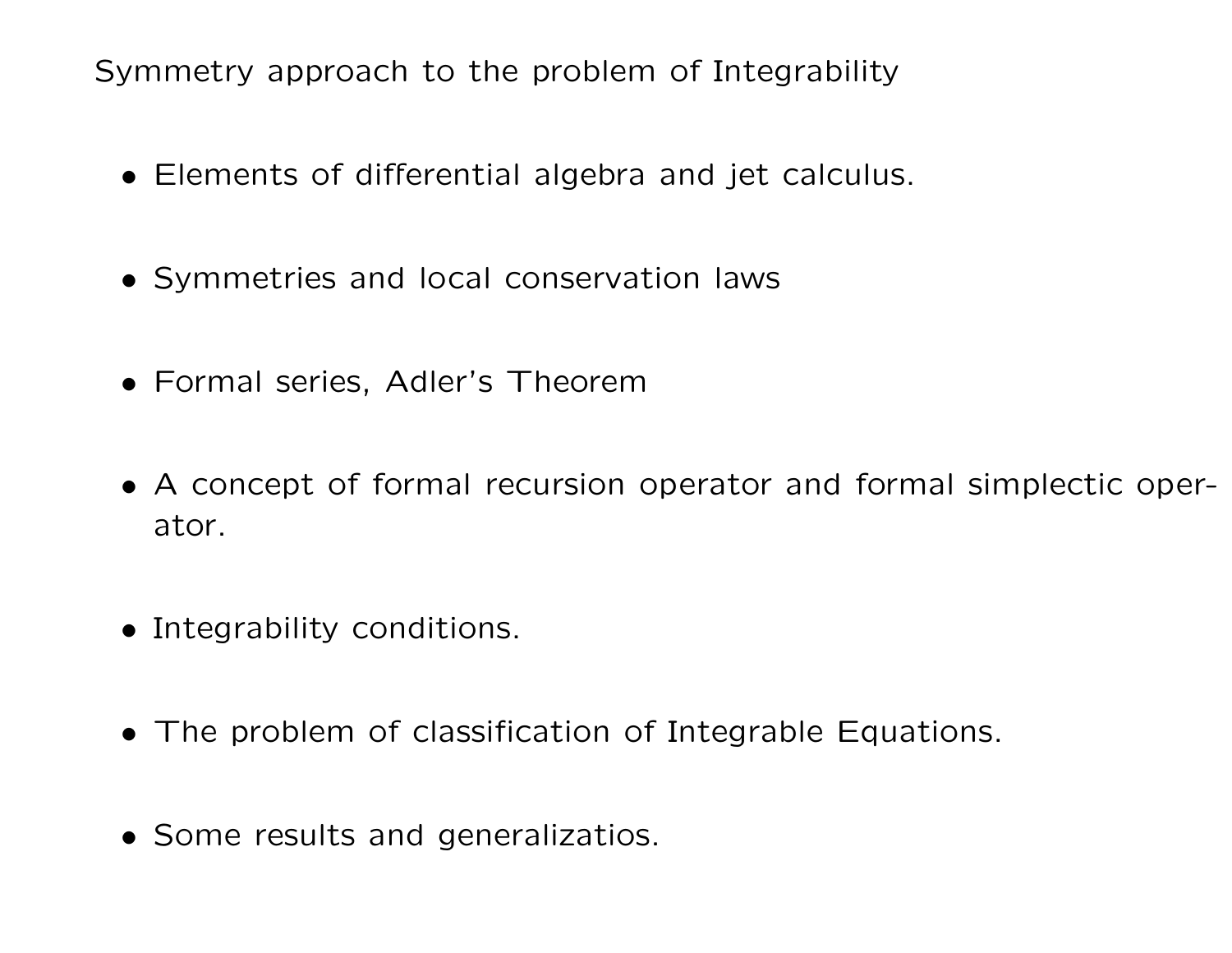Symmetry approach to the problem of Integrability

- Elements of differential algebra and jet calculus.
- Symmetries and local conservation laws
- Formal series, Adler's Theorem
- A concept of formal recursion operator and formal simplectic operator.
- Integrability conditions.
- The problem of classification of Integrable Equations.
- Some results and generalizatios.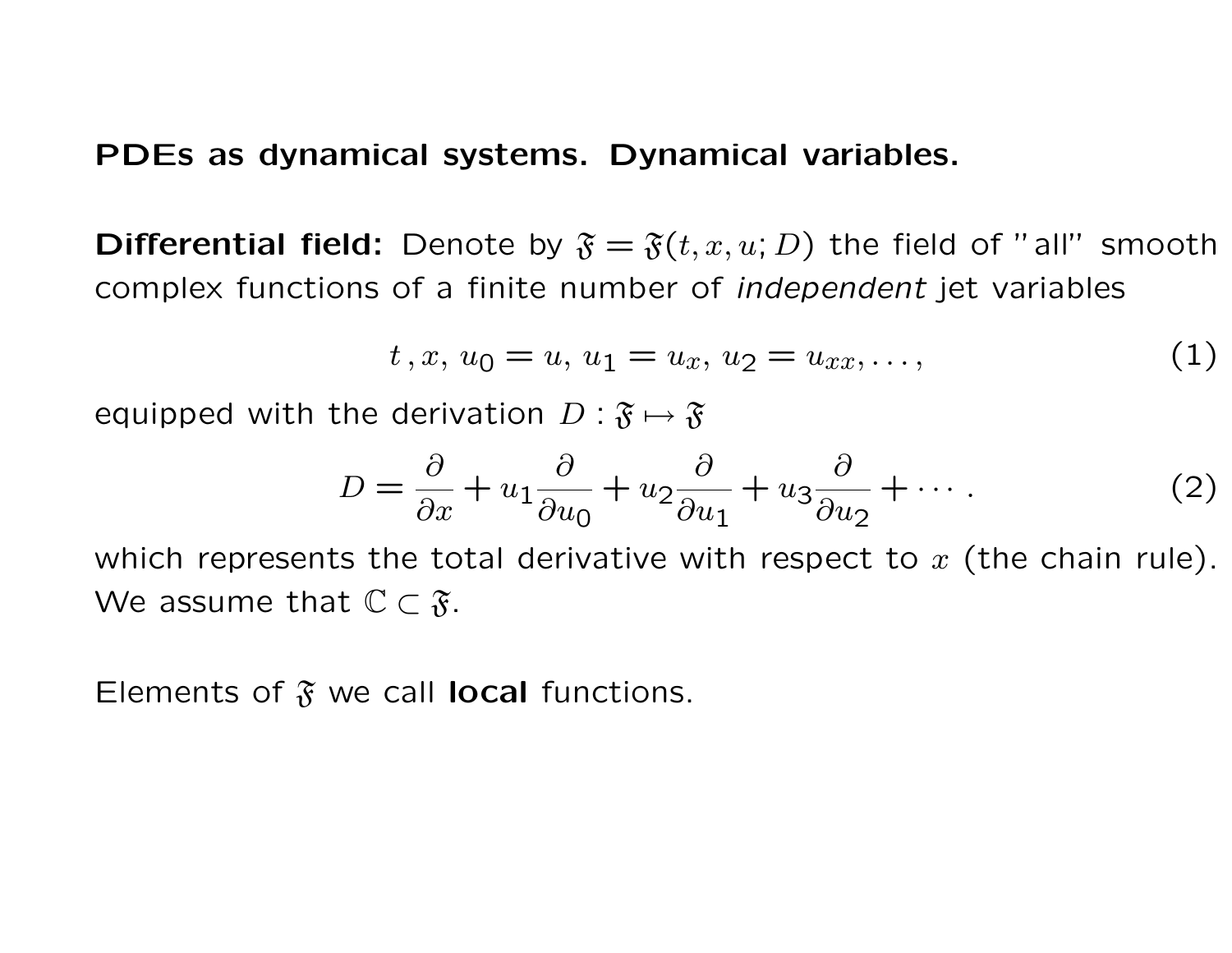#### PDEs as dynamical systems. Dynamical variables.

**Differential field:** Denote by  $\mathfrak{F} = \mathfrak{F}(t, x, u; D)$  the field of "all" smooth complex functions of a finite number of independent jet variables

$$
t, x, u_0 = u, u_1 = u_x, u_2 = u_{xx}, \dots,
$$
 (1)

equipped with the derivation  $D : \mathfrak{F} \mapsto \mathfrak{F}$ 

$$
D = \frac{\partial}{\partial x} + u_1 \frac{\partial}{\partial u_0} + u_2 \frac{\partial}{\partial u_1} + u_3 \frac{\partial}{\partial u_2} + \cdots
$$
 (2)

which represents the total derivative with respect to  $x$  (the chain rule). We assume that  $\mathbb{C} \subset \mathfrak{F}$ .

Elements of  $\mathfrak{F}$  we call local functions.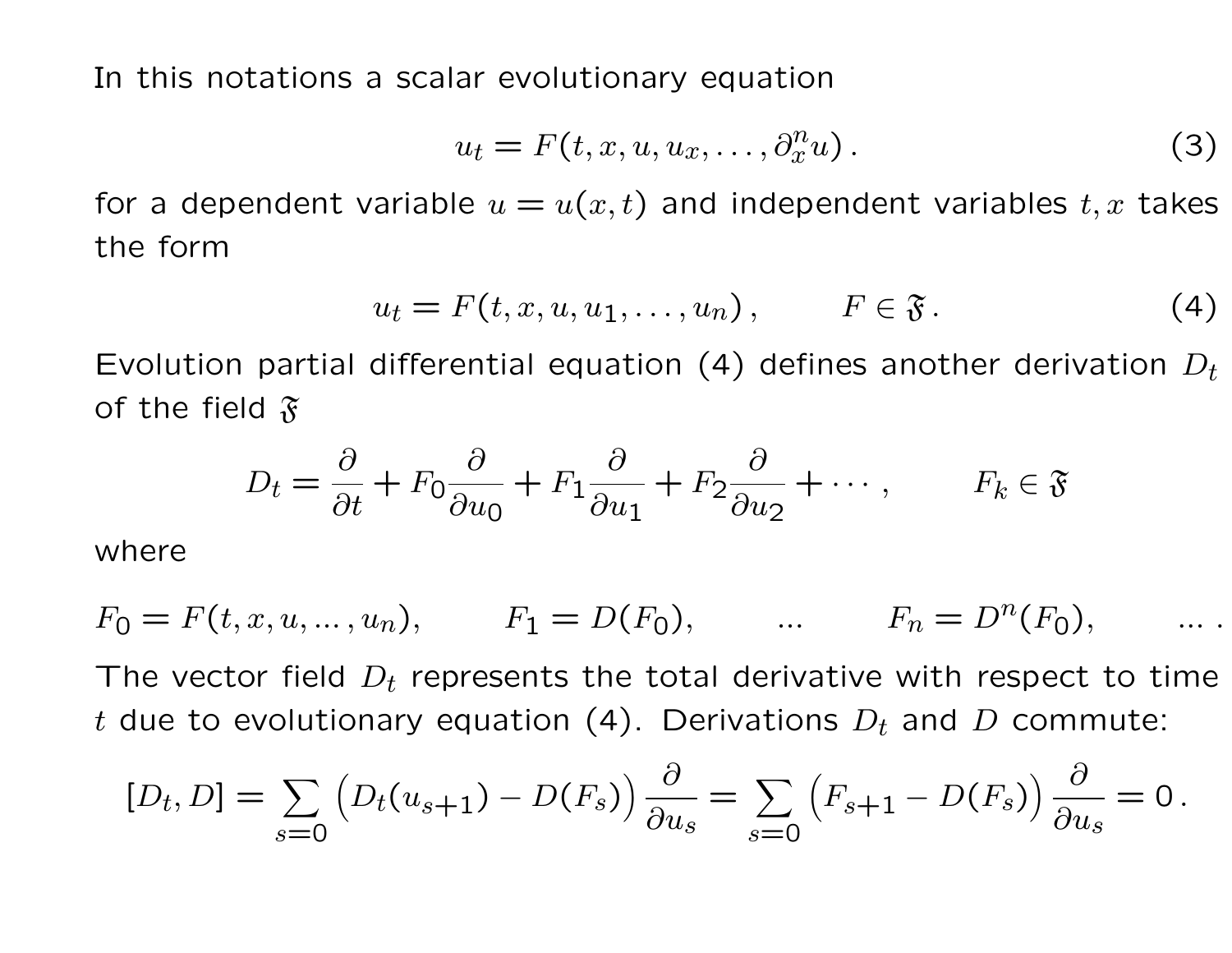In this notations a scalar evolutionary equation

$$
u_t = F(t, x, u, u_x, \dots, \partial_x^n u). \tag{3}
$$

for a dependent variable  $u = u(x, t)$  and independent variables  $t, x$  takes the form

$$
u_t = F(t, x, u, u_1, \dots, u_n), \qquad F \in \mathfrak{F}.
$$
 (4)

Evolution partial differential equation (4) defines another derivation  $D_t$ of the field  $\mathfrak{F}$ 

$$
D_t = \frac{\partial}{\partial t} + F_0 \frac{\partial}{\partial u_0} + F_1 \frac{\partial}{\partial u_1} + F_2 \frac{\partial}{\partial u_2} + \cdots, \qquad F_k \in \mathfrak{F}
$$

where

$$
F_0 = F(t, x, u, ..., u_n),
$$
  $F_1 = D(F_0),$   $\dots$   $F_n = D^n(F_0),$   $\dots$ 

The vector field  $D_t$  represents the total derivative with respect to time t due to evolutionary equation (4). Derivations  $D_t$  and D commute:

$$
[D_t, D] = \sum_{s=0} \left( D_t(u_{s+1}) - D(F_s) \right) \frac{\partial}{\partial u_s} = \sum_{s=0} \left( F_{s+1} - D(F_s) \right) \frac{\partial}{\partial u_s} = 0.
$$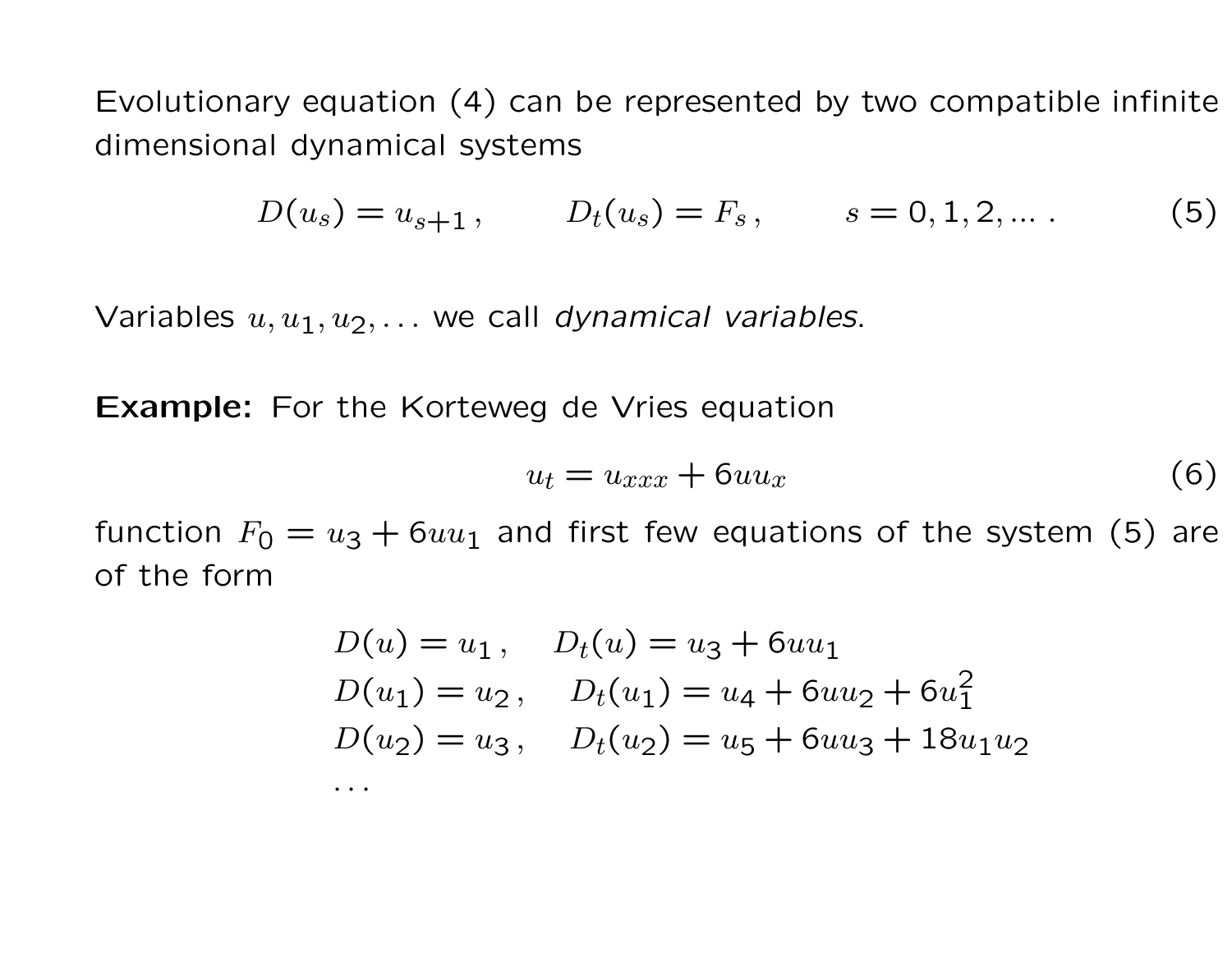Evolutionary equation (4) can be represented by two compatible infinite dimensional dynamical systems

$$
D(u_s) = u_{s+1}, \qquad D_t(u_s) = F_s, \qquad s = 0, 1, 2, \dots \tag{5}
$$

Variables  $u, u_1, u_2, \ldots$  we call dynamical variables.

**Example:** For the Korteweg de Vries equation

$$
u_t = u_{xxx} + 6uu_x \tag{6}
$$

function  $F_0 = u_3 + 6uu_1$  and first few equations of the system (5) are of the form

$$
D(u) = u_1, \quad D_t(u) = u_3 + 6uu_1
$$
  
\n
$$
D(u_1) = u_2, \quad D_t(u_1) = u_4 + 6uu_2 + 6u_1^2
$$
  
\n
$$
D(u_2) = u_3, \quad D_t(u_2) = u_5 + 6uu_3 + 18u_1u_2
$$
  
\n...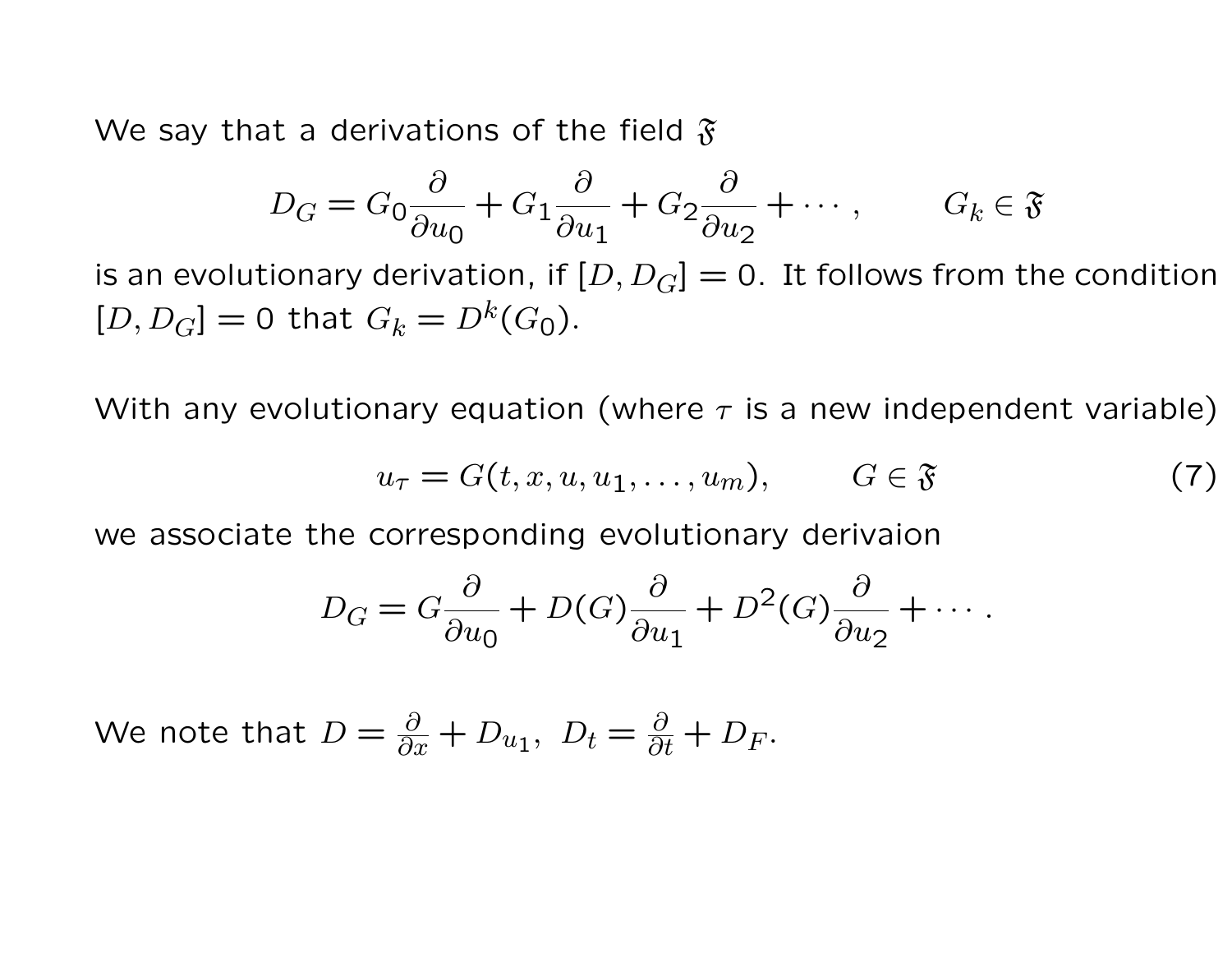We say that a derivations of the field  $\mathfrak{F}$ 

$$
D_G = G_0 \frac{\partial}{\partial u_0} + G_1 \frac{\partial}{\partial u_1} + G_2 \frac{\partial}{\partial u_2} + \cdots, \qquad G_k \in \mathfrak{F}
$$

is an evolutionary derivation, if  $[D, D_G] = 0$ . It follows from the condition  $[D, D_G] = 0$  that  $G_k = D^k(G_0)$ .

With any evolutionary equation (where  $\tau$  is a new independent variable)

$$
u_{\tau} = G(t, x, u, u_1, \dots, u_m), \qquad G \in \mathfrak{F} \tag{7}
$$

we associate the corresponding evolutionary derivaion

$$
D_G = G \frac{\partial}{\partial u_0} + D(G) \frac{\partial}{\partial u_1} + D^2(G) \frac{\partial}{\partial u_2} + \cdots
$$

We note that  $D = \frac{\partial}{\partial x} + D_{u_1}, D_t = \frac{\partial}{\partial t} + D_F.$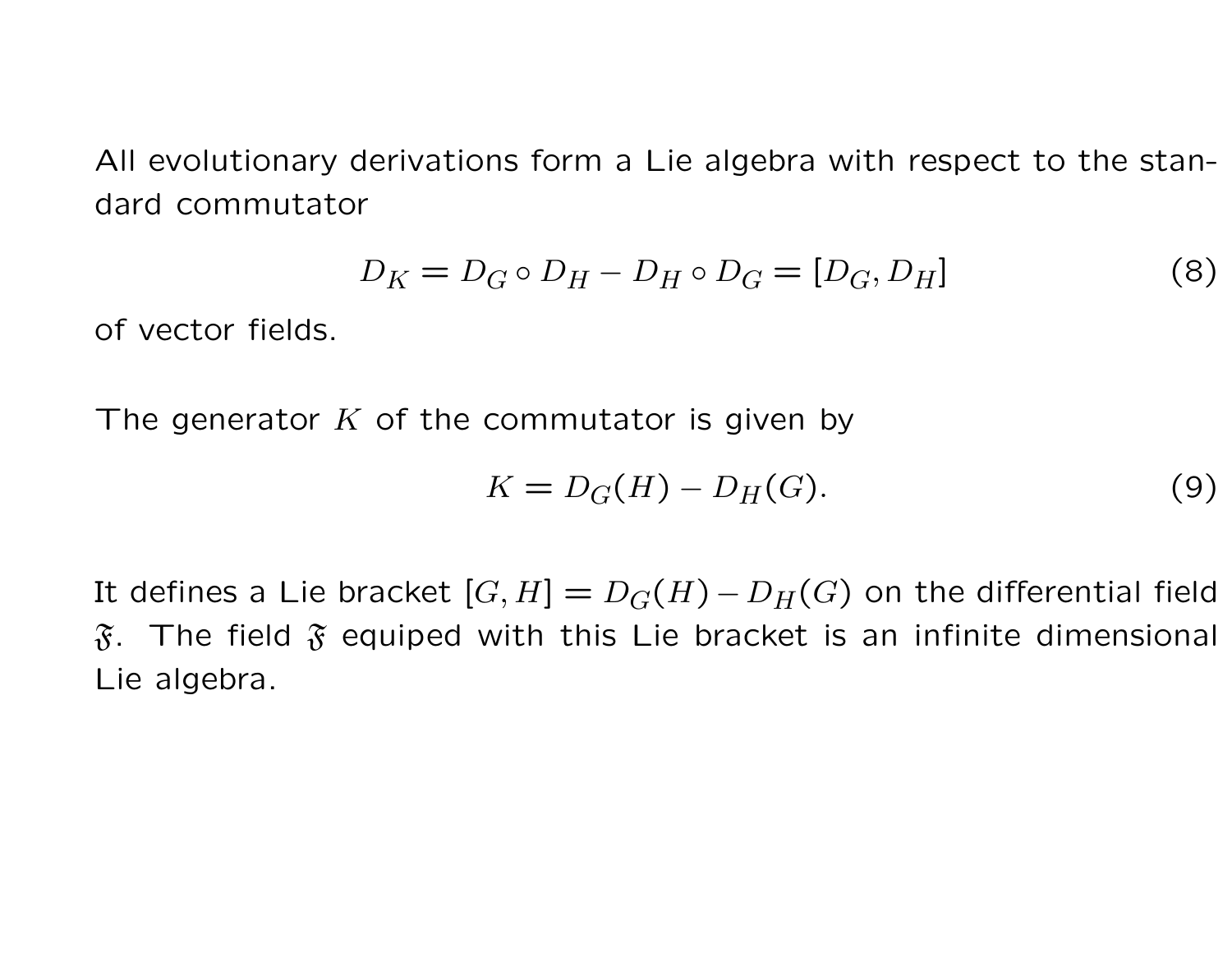All evolutionary derivations form a Lie algebra with respect to the standard commutator

$$
D_K = D_G \circ D_H - D_H \circ D_G = [D_G, D_H] \tag{8}
$$

of vector fields.

The generator  $K$  of the commutator is given by

$$
K = D_G(H) - D_H(G). \tag{9}
$$

It defines a Lie bracket  $[G, H] = D_G(H) - D_H(G)$  on the differential field  $\mathfrak F$ . The field  $\mathfrak F$  equiped with this Lie bracket is an infinite dimensional Lie algebra.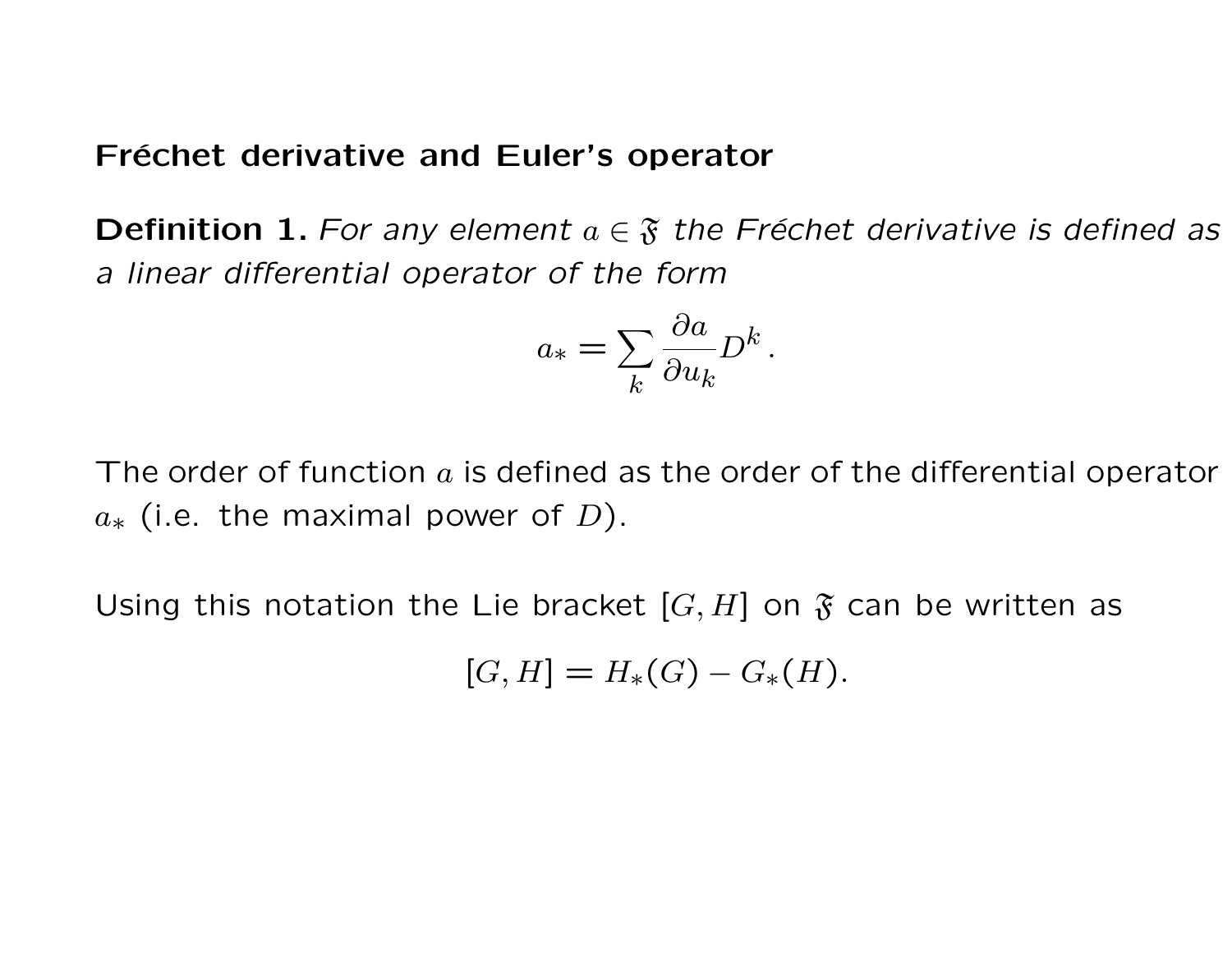#### Fréchet derivative and Euler's operator

**Definition 1.** For any element  $a \in \mathfrak{F}$  the Fréchet derivative is defined as a linear differential operator of the form

$$
a_* = \sum_k \frac{\partial a}{\partial u_k} D^k
$$

.

The order of function  $a$  is defined as the order of the differential operator  $a<sub>*</sub>$  (i.e. the maximal power of D).

Using this notation the Lie bracket  $[G, H]$  on  $\mathfrak{F}$  can be written as

$$
[G,H] = H_*(G) - G_*(H).
$$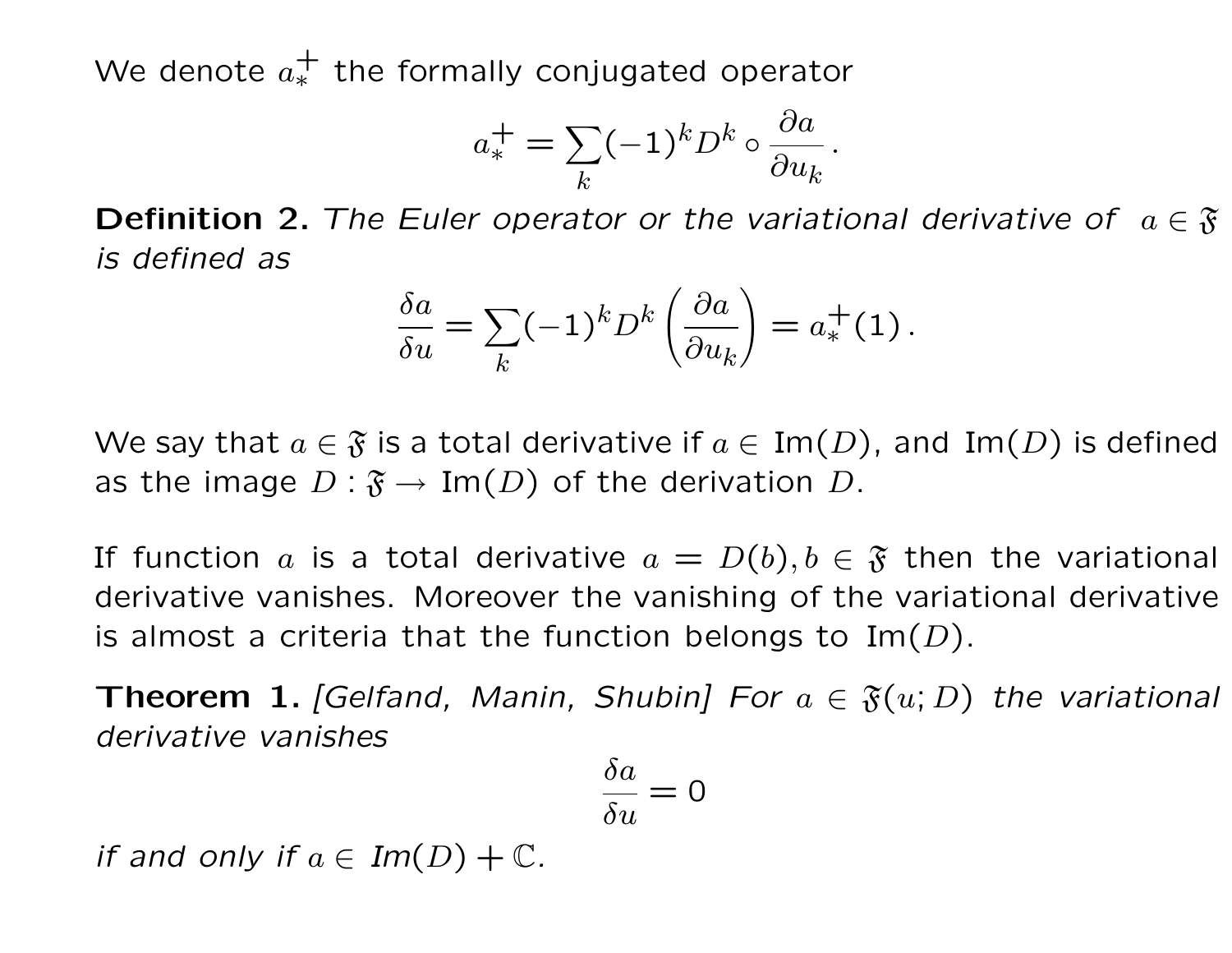We denote  $a_*^+$  the formally conjugated operator

$$
a_*^+ = \sum_k (-1)^k D^k \circ \frac{\partial a}{\partial u_k}.
$$

**Definition 2.** The Euler operator or the variational derivative of  $a \in \mathfrak{F}$ is defined as

$$
\frac{\delta a}{\delta u} = \sum_{k} (-1)^{k} D^{k} \left( \frac{\partial a}{\partial u_{k}} \right) = a_{*}^{+}(1).
$$

We say that  $a \in \mathfrak{F}$  is a total derivative if  $a \in \text{Im}(D)$ , and  $\text{Im}(D)$  is defined as the image  $D : \mathfrak{F} \to \text{Im}(D)$  of the derivation D.

If function a is a total derivative  $a = D(b)$ ,  $b \in \mathfrak{F}$  then the variational derivative vanishes. Moreover the vanishing of the variational derivative is almost a criteria that the function belongs to Im( $D$ ).

**Theorem 1.** [Gelfand, Manin, Shubin] For  $a \in \mathfrak{F}(u; D)$  the variational derivative vanishes

$$
\frac{\delta a}{\delta u} = 0
$$

if and only if  $a \in Im(D) + \mathbb{C}$ .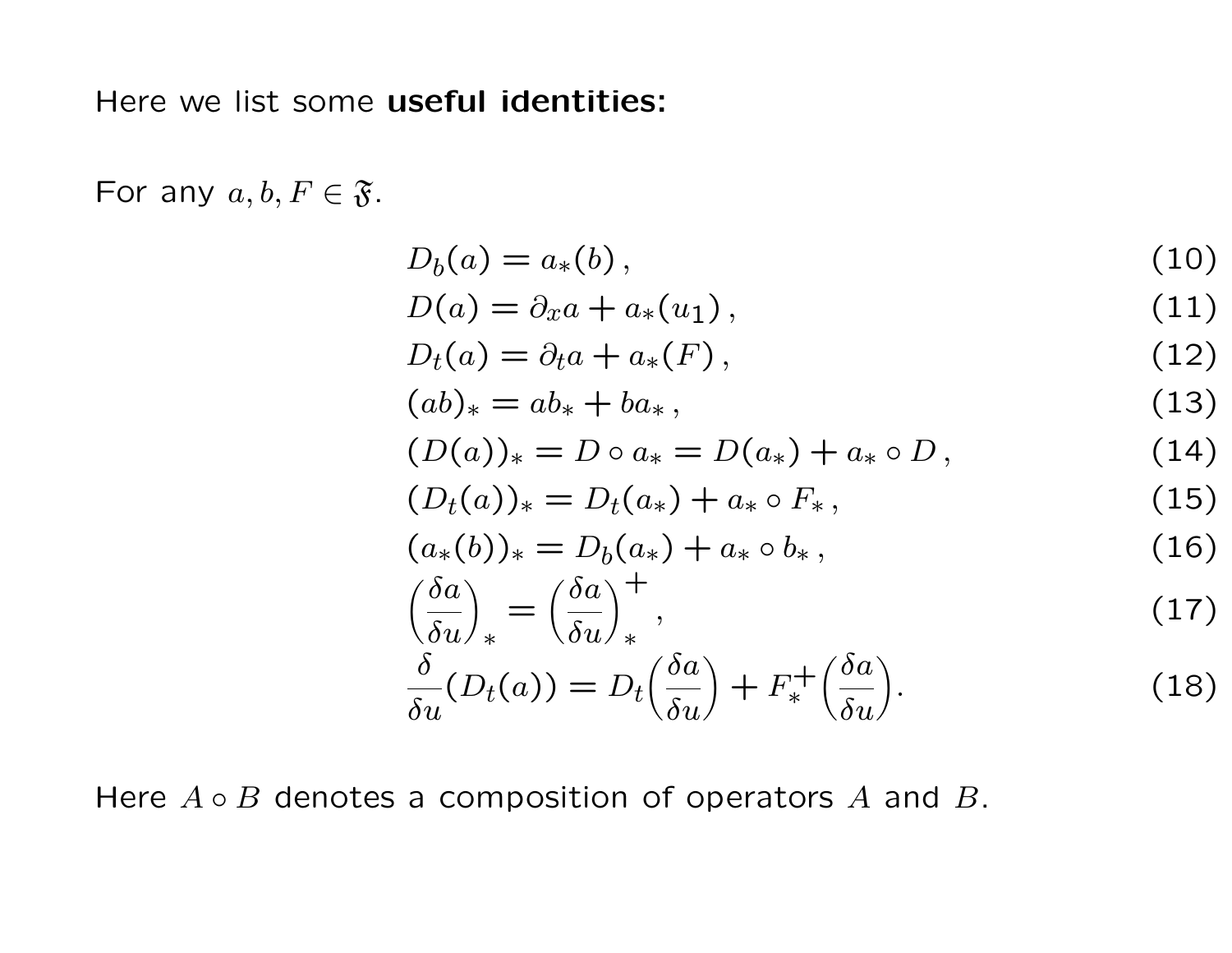Here we list some useful identities:

For any  $a, b, F \in \mathfrak{F}$ .

$$
D_b(a) = a_*(b), \qquad (10)
$$

$$
D(a) = \partial_x a + a_*(u_1), \qquad (11)
$$

$$
D_t(a) = \partial_t a + a_*(F), \qquad (12)
$$

$$
(ab)_* = ab_* + ba_*,\tag{13}
$$

$$
(D(a))_* = D \circ a_* = D(a_*) + a_* \circ D, \qquad (14)
$$

$$
(D_t(a))_* = D_t(a_*) + a_* \circ F_*, \qquad (15)
$$

$$
(a_*(b))_* = D_b(a_*) + a_* \circ b_*,
$$
\n(16)

$$
\left(\frac{\delta a}{\delta u}\right)_* = \left(\frac{\delta a}{\delta u}\right)_*^+,\tag{17}
$$

$$
\frac{\delta}{\delta u}(D_t(a)) = D_t\left(\frac{\delta a}{\delta u}\right) + F_*^+\left(\frac{\delta a}{\delta u}\right).
$$
\n(18)

Here  $A \circ B$  denotes a composition of operators  $A$  and  $B$ .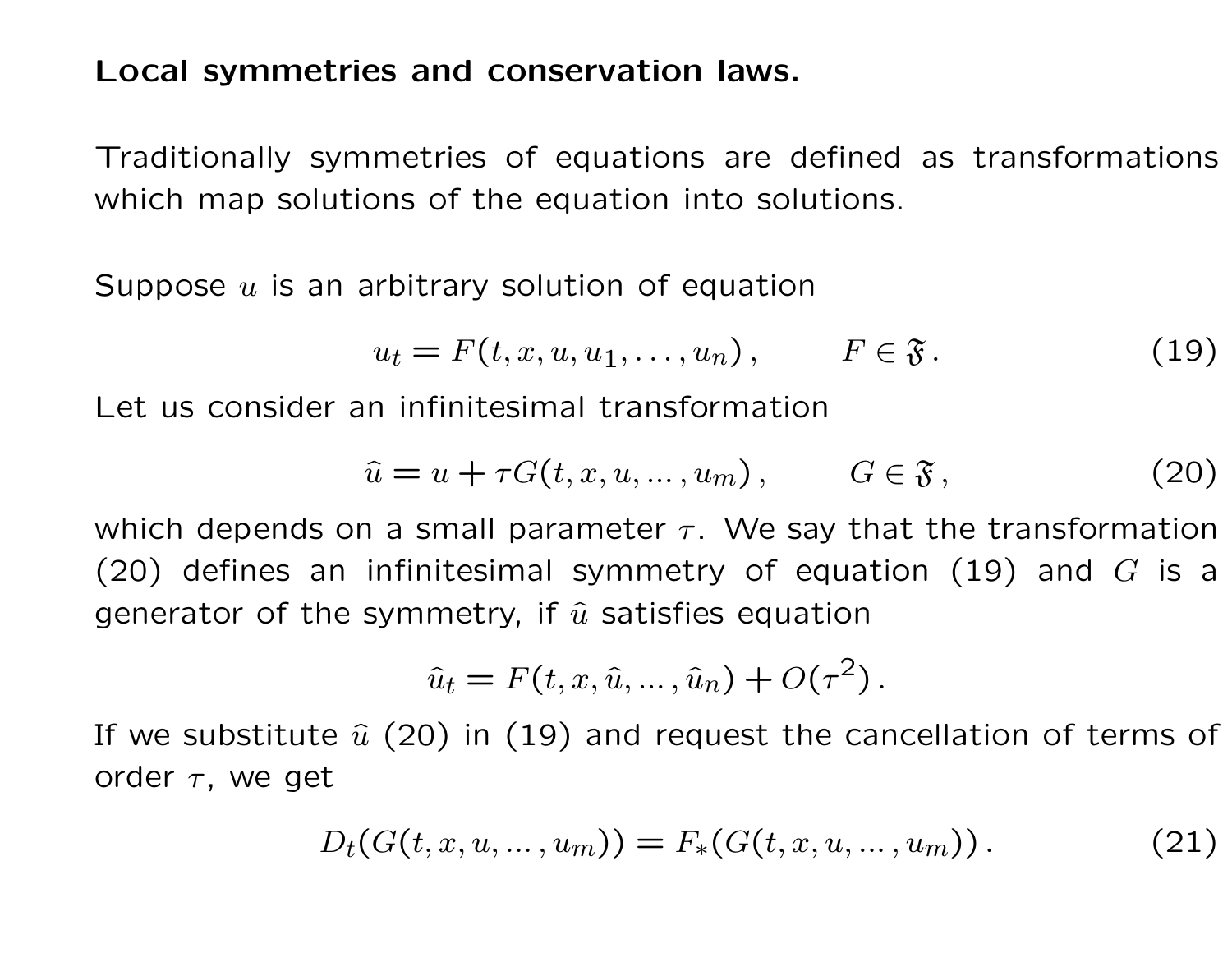### Local symmetries and conservation laws.

Traditionally symmetries of equations are defined as transformations which map solutions of the equation into solutions.

Suppose  $u$  is an arbitrary solution of equation

$$
u_t = F(t, x, u, u_1, \dots, u_n), \qquad F \in \mathfrak{F}.
$$
 (19)

Let us consider an infinitesimal transformation

$$
\hat{u} = u + \tau G(t, x, u, \dots, u_m), \qquad G \in \mathfrak{F}, \tag{20}
$$

which depends on a small parameter  $\tau$ . We say that the transformation (20) defines an infinitesimal symmetry of equation (19) and  $G$  is a generator of the symmetry, if  $\hat{u}$  satisfies equation

$$
\hat{u}_t = F(t, x, \hat{u}, \dots, \hat{u}_n) + O(\tau^2).
$$

If we substitute  $\hat{u}$  (20) in (19) and request the cancellation of terms of order  $\tau$ , we get

$$
D_t(G(t, x, u, ..., u_m)) = F_*(G(t, x, u, ..., u_m)).
$$
\n(21)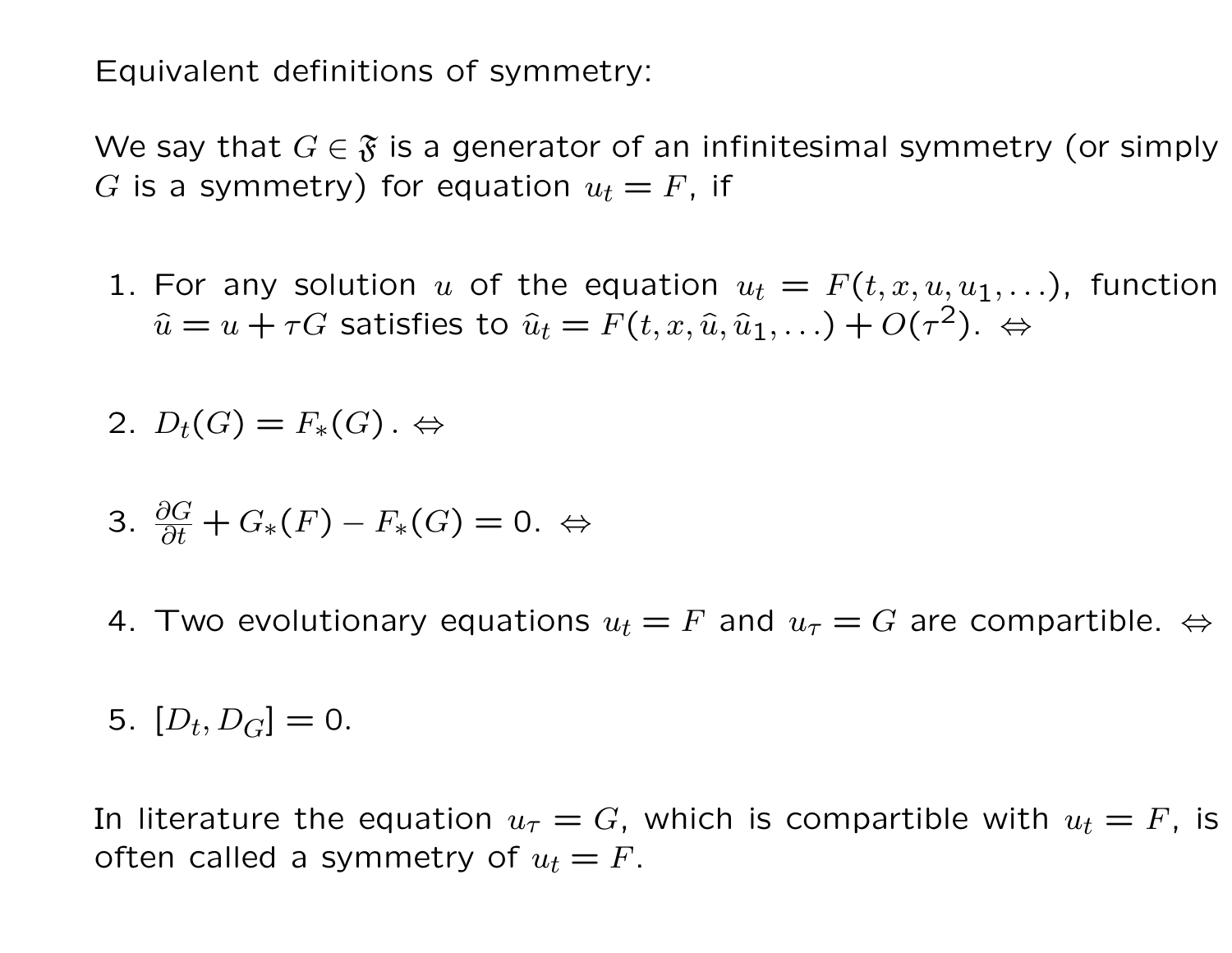Equivalent definitions of symmetry:

We say that  $G \in \mathfrak{F}$  is a generator of an infinitesimal symmetry (or simply G is a symmetry) for equation  $u_t = F$ , if

1. For any solution u of the equation  $u_t = F(t, x, u, u_1, \ldots)$ , function  $\widehat{u} = u + \tau G$  satisfies to  $\widehat{u}_t = F(t, x, \widehat{u}, \widehat{u}_1, \ldots) + O(\tau^2)$ .  $\Leftrightarrow$ 

$$
2. D_t(G) = F_*(G) . \Leftrightarrow
$$

$$
3. \frac{\partial G}{\partial t} + G_*(F) - F_*(G) = 0. \Leftrightarrow
$$

4. Two evolutionary equations  $u_t = F$  and  $u_\tau = G$  are compartible.  $\Leftrightarrow$ 

5.  $[D_t, D_G] = 0.$ 

In literature the equation  $u_{\tau} = G$ , which is compartible with  $u_t = F$ , is often called a symmetry of  $u_t = F$ .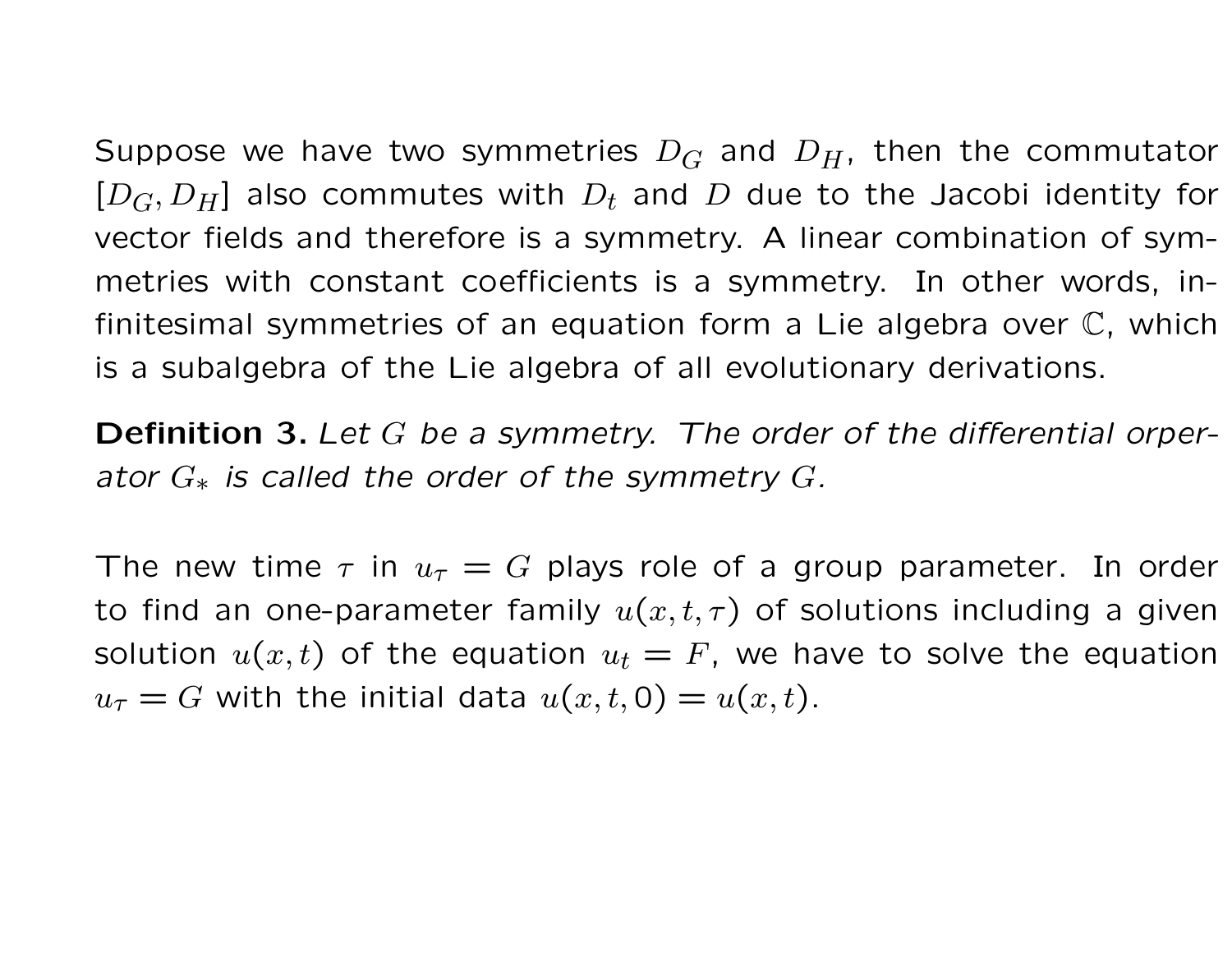Suppose we have two symmetries  $D_G$  and  $D_H$ , then the commutator  $[D_G, D_H]$  also commutes with  $D_t$  and D due to the Jacobi identity for vector fields and therefore is a symmetry. A linear combination of symmetries with constant coefficients is a symmetry. In other words, infinitesimal symmetries of an equation form a Lie algebra over C, which is a subalgebra of the Lie algebra of all evolutionary derivations.

**Definition 3.** Let G be a symmetry. The order of the differential orperator  $G_*$  is called the order of the symmetry  $G$ .

The new time  $\tau$  in  $u_{\tau} = G$  plays role of a group parameter. In order to find an one-parameter family  $u(x, t, \tau)$  of solutions including a given solution  $u(x, t)$  of the equation  $u_t = F$ , we have to solve the equation  $u_{\tau} = G$  with the initial data  $u(x, t, 0) = u(x, t)$ .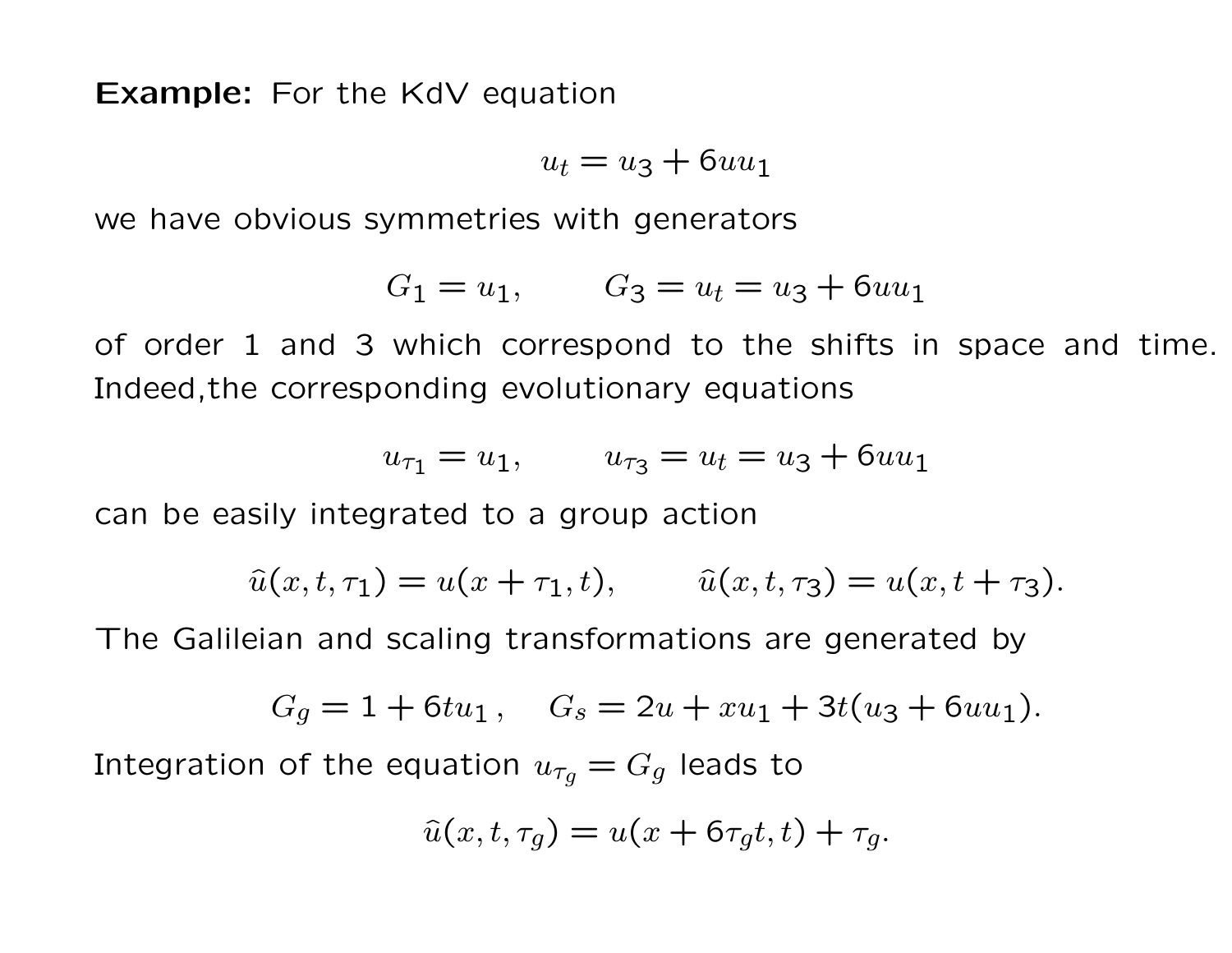**Example:** For the KdV equation

$$
u_t = u_3 + 6uu_1
$$

we have obvious symmetries with generators

$$
G_1 = u_1, \qquad G_3 = u_t = u_3 + 6uu_1
$$

of order 1 and 3 which correspond to the shifts in space and time. Indeed,the corresponding evolutionary equations

$$
u_{\tau_1} = u_1, \qquad u_{\tau_3} = u_t = u_3 + 6uu_1
$$

can be easily integrated to a group action

$$
\hat{u}(x,t,\tau_1) = u(x+\tau_1,t), \qquad \hat{u}(x,t,\tau_3) = u(x,t+\tau_3).
$$

The Galileian and scaling transformations are generated by

$$
G_g = 1 + 6tu_1, \quad G_s = 2u + xu_1 + 3t(u_3 + 6uu_1).
$$

Integration of the equation  $u_{\tau g} = G_g$  leads to

$$
\hat{u}(x,t,\tau_g) = u(x+6\tau_g t,t) + \tau_g.
$$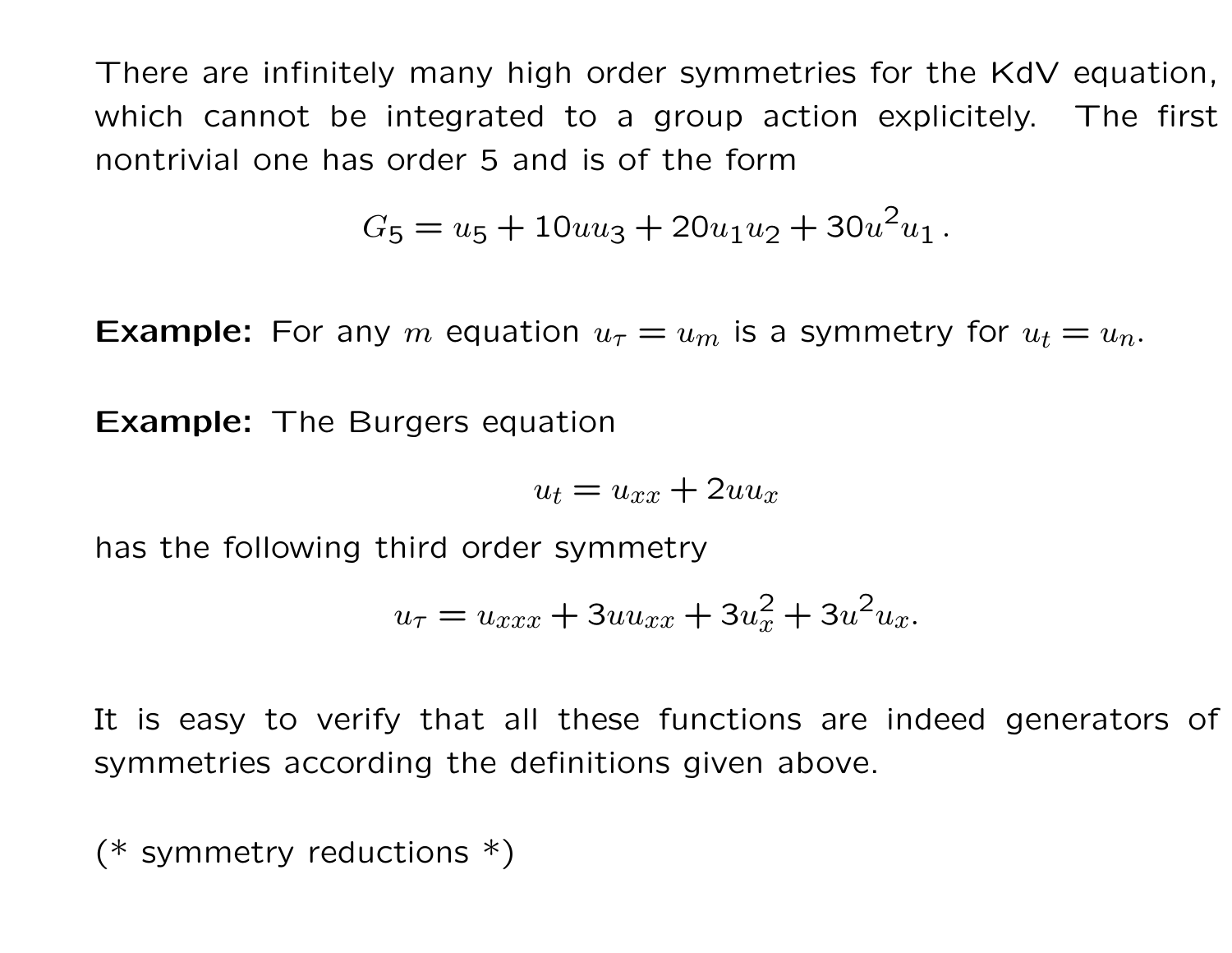There are infinitely many high order symmetries for the KdV equation, which cannot be integrated to a group action explicitely. The first nontrivial one has order 5 and is of the form

$$
G_5 = u_5 + 10uu_3 + 20u_1u_2 + 30u^2u_1.
$$

**Example:** For any m equation  $u_{\tau} = u_m$  is a symmetry for  $u_t = u_n$ .

**Example:** The Burgers equation

$$
u_t = u_{xx} + 2uu_x
$$

has the following third order symmetry

$$
u_{\tau} = u_{xxx} + 3uu_{xx} + 3u_x^2 + 3u^2u_x.
$$

It is easy to verify that all these functions are indeed generators of symmetries according the definitions given above.

(\* symmetry reductions  $*)$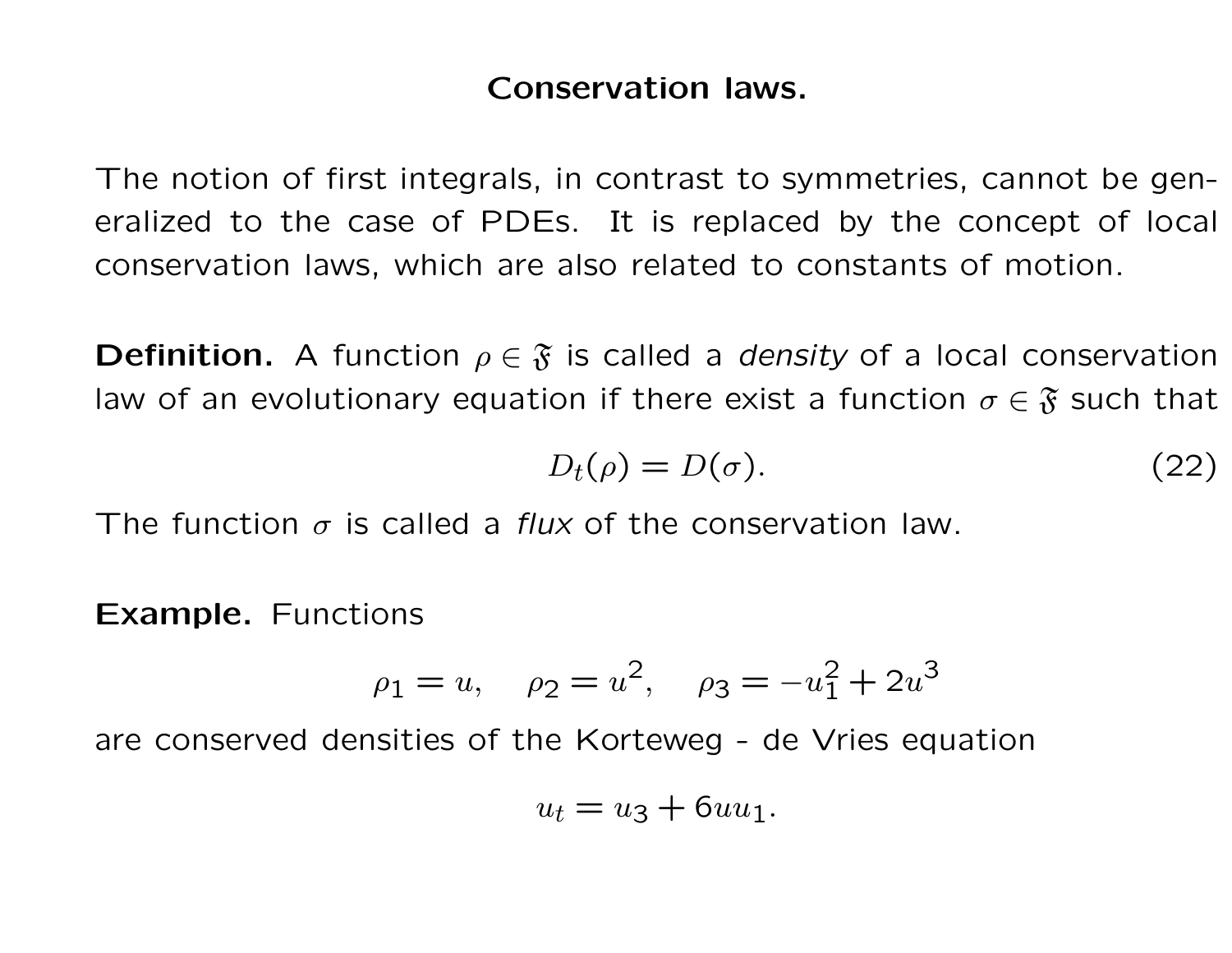## Conservation laws.

The notion of first integrals, in contrast to symmetries, cannot be generalized to the case of PDEs. It is replaced by the concept of local conservation laws, which are also related to constants of motion.

**Definition.** A function  $\rho \in \mathfrak{F}$  is called a *density* of a local conservation law of an evolutionary equation if there exist a function  $\sigma \in \mathfrak{F}$  such that

$$
D_t(\rho) = D(\sigma). \tag{22}
$$

The function  $\sigma$  is called a *flux* of the conservation law.

Example. Functions

$$
\rho_1 = u
$$
,  $\rho_2 = u^2$ ,  $\rho_3 = -u_1^2 + 2u^3$ 

are conserved densities of the Korteweg - de Vries equation

$$
u_t = u_3 + 6uu_1.
$$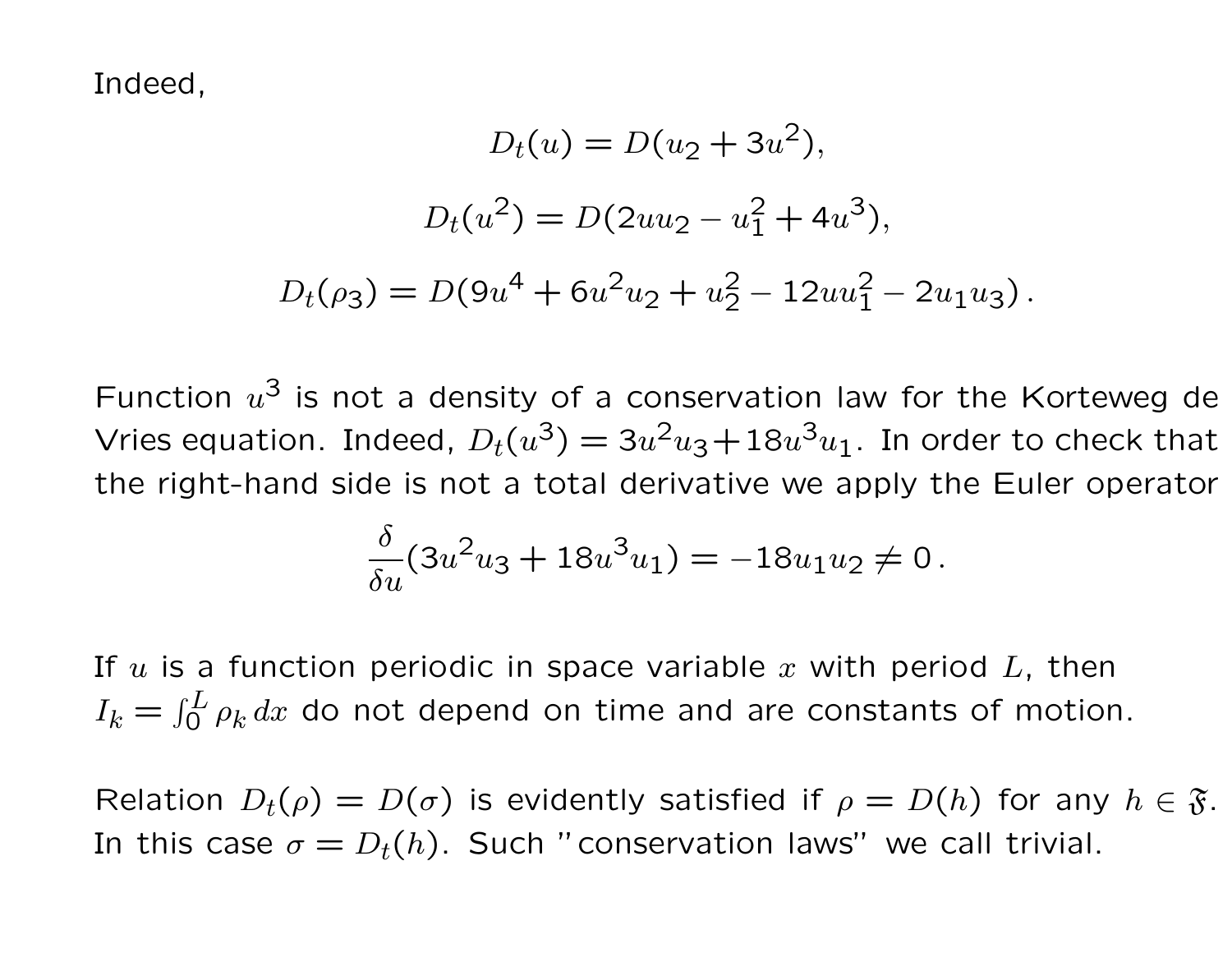Indeed,

$$
D_t(u) = D(u_2 + 3u^2),
$$
  
\n
$$
D_t(u^2) = D(2uu_2 - u_1^2 + 4u^3),
$$
  
\n
$$
D_t(\rho_3) = D(9u^4 + 6u^2u_2 + u_2^2 - 12uu_1^2 - 2u_1u_3).
$$

Function  $u^3$  is not a density of a conservation law for the Korteweg de Vries equation. Indeed,  $D_t(u^3) = 3u^2u_3+18u^3u_1$ . In order to check that the right-hand side is not a total derivative we apply the Euler operator

$$
\frac{\delta}{\delta u}(3u^2u_3 + 18u^3u_1) = -18u_1u_2 \neq 0.
$$

If  $u$  is a function periodic in space variable  $x$  with period  $L$ , then  $I_k = \int_0^L \rho_k \, dx$  do not depend on time and are constants of motion.

Relation  $D_t(\rho) = D(\sigma)$  is evidently satisfied if  $\rho = D(h)$  for any  $h \in \mathfrak{F}$ . In this case  $\sigma = D_t(h)$ . Such "conservation laws" we call trivial.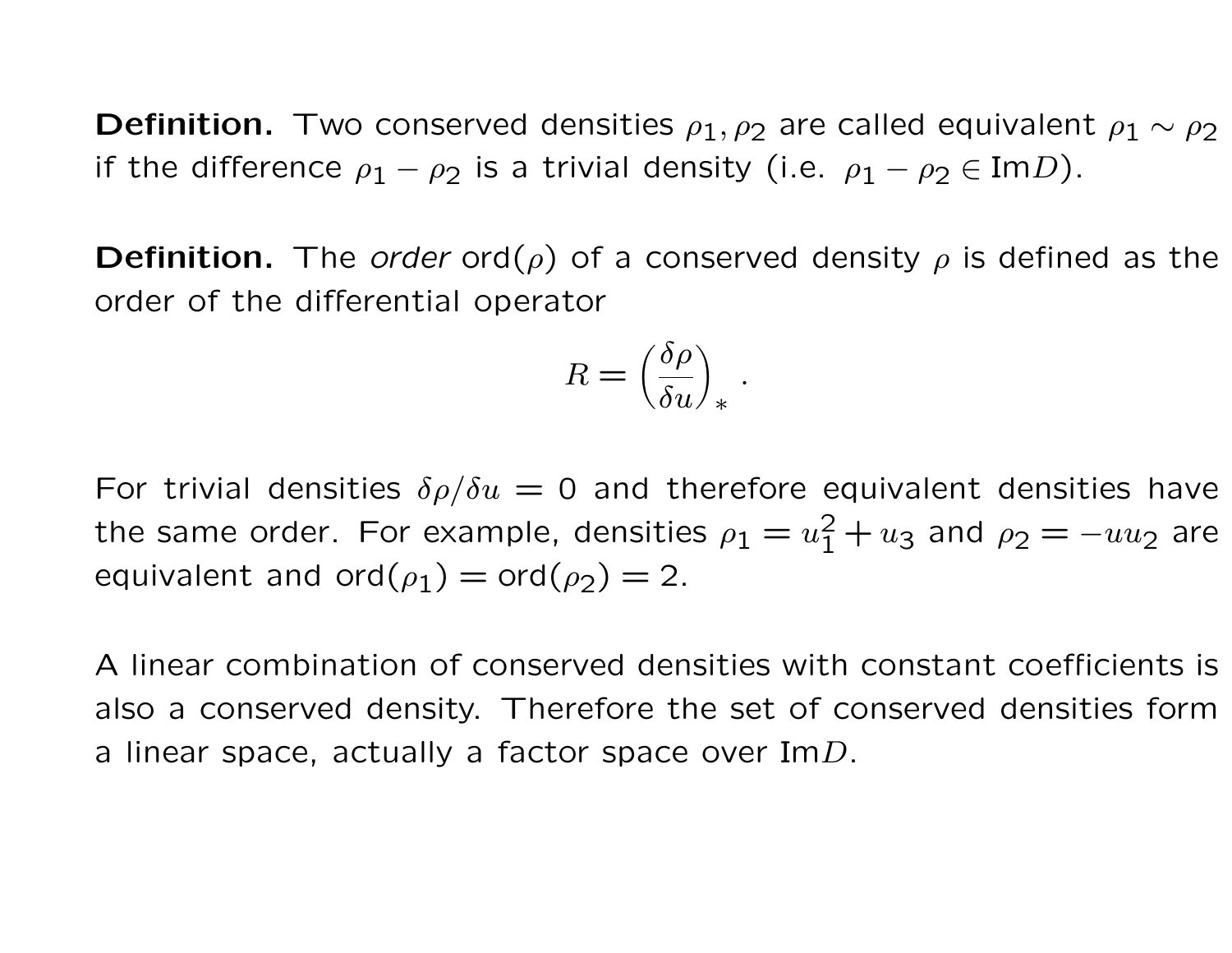**Definition.** Two conserved densities  $\rho_1, \rho_2$  are called equivalent  $\rho_1 \sim \rho_2$ if the difference  $\rho_1 - \rho_2$  is a trivial density (i.e.  $\rho_1 - \rho_2 \in \text{Im} D$ ).

**Definition.** The *order* ord( $\rho$ ) of a conserved density  $\rho$  is defined as the order of the differential operator

$$
R = \left(\frac{\delta \rho}{\delta u}\right)_*
$$

.

For trivial densities  $\delta \rho / \delta u = 0$  and therefore equivalent densities have the same order. For example, densities  $\rho_1 = u_1^2 + u_3$  and  $\rho_2 = -uu_2$  are equivalent and ord $(\rho_1)$  = ord $(\rho_2)$  = 2.

A linear combination of conserved densities with constant coefficients is also a conserved density. Therefore the set of conserved densities form a linear space, actually a factor space over Im $D$ .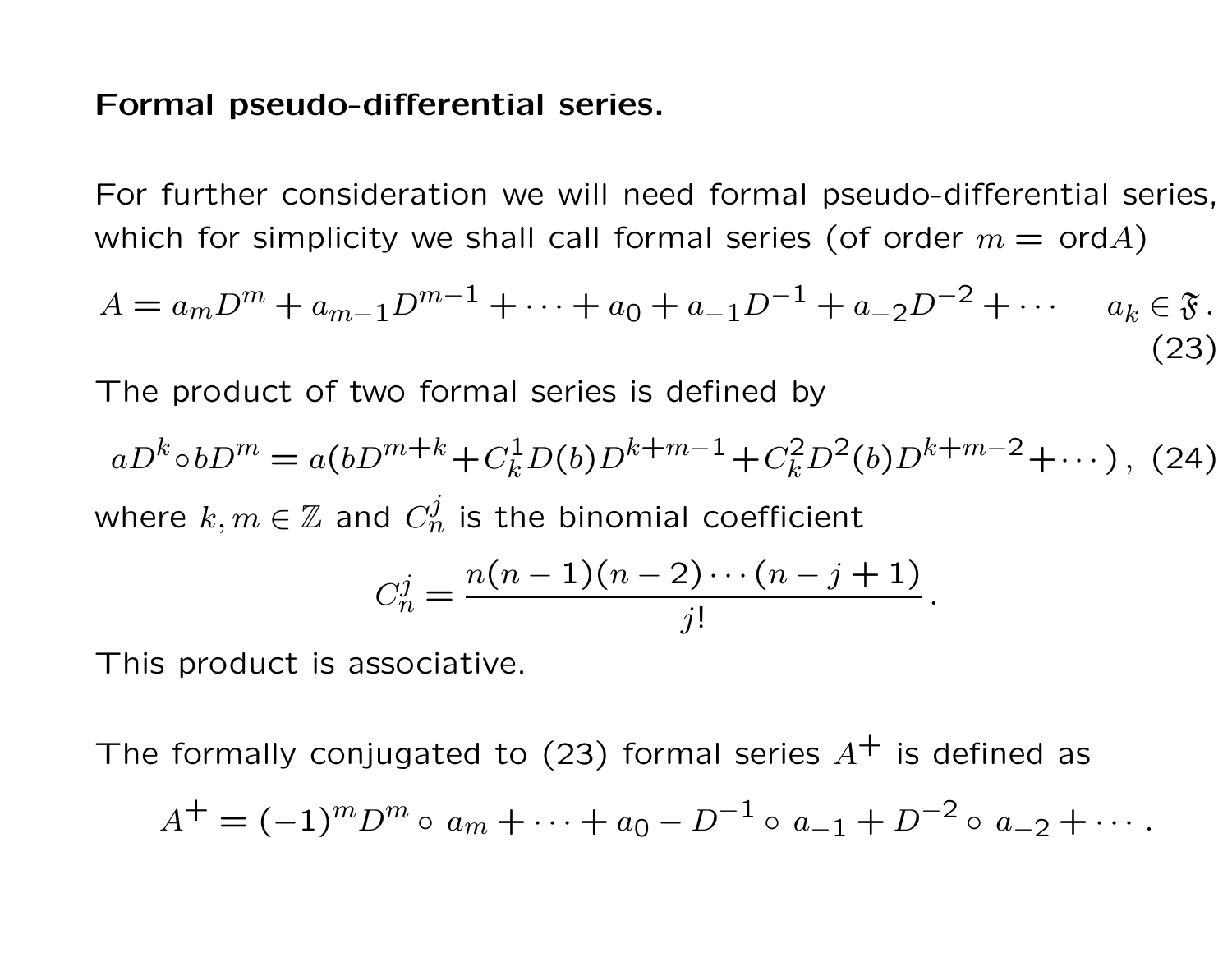#### Formal pseudo-differential series.

For further consideration we will need formal pseudo-differential series, which for simplicity we shall call formal series (of order  $m = \text{ord }A$ )

$$
A = a_m D^m + a_{m-1} D^{m-1} + \dots + a_0 + a_{-1} D^{-1} + a_{-2} D^{-2} + \dots \quad a_k \in \mathfrak{F}.
$$
\n(23)

The product of two formal series is defined by

$$
aD^k \circ bD^m = a(bD^{m+k} + C_k^1 D(b)D^{k+m-1} + C_k^2 D^2(b)D^{k+m-2} + \cdots),
$$
 (24)  
where  $k, m \in \mathbb{Z}$  and  $C_n^j$  is the binomial coefficient  

$$
C_n^j = \frac{n(n-1)(n-2)\cdots(n-j+1)}{n!}.
$$

$$
C_n^j = \frac{n(n-1)(n-2)\cdots(n-j+1)}{j!}
$$

This product is associative.

The formally conjugated to (23) formal series  $A^+$  is defined as

$$
A^{+} = (-1)^{m} D^{m} \circ a_{m} + \cdots + a_{0} - D^{-1} \circ a_{-1} + D^{-2} \circ a_{-2} + \cdots.
$$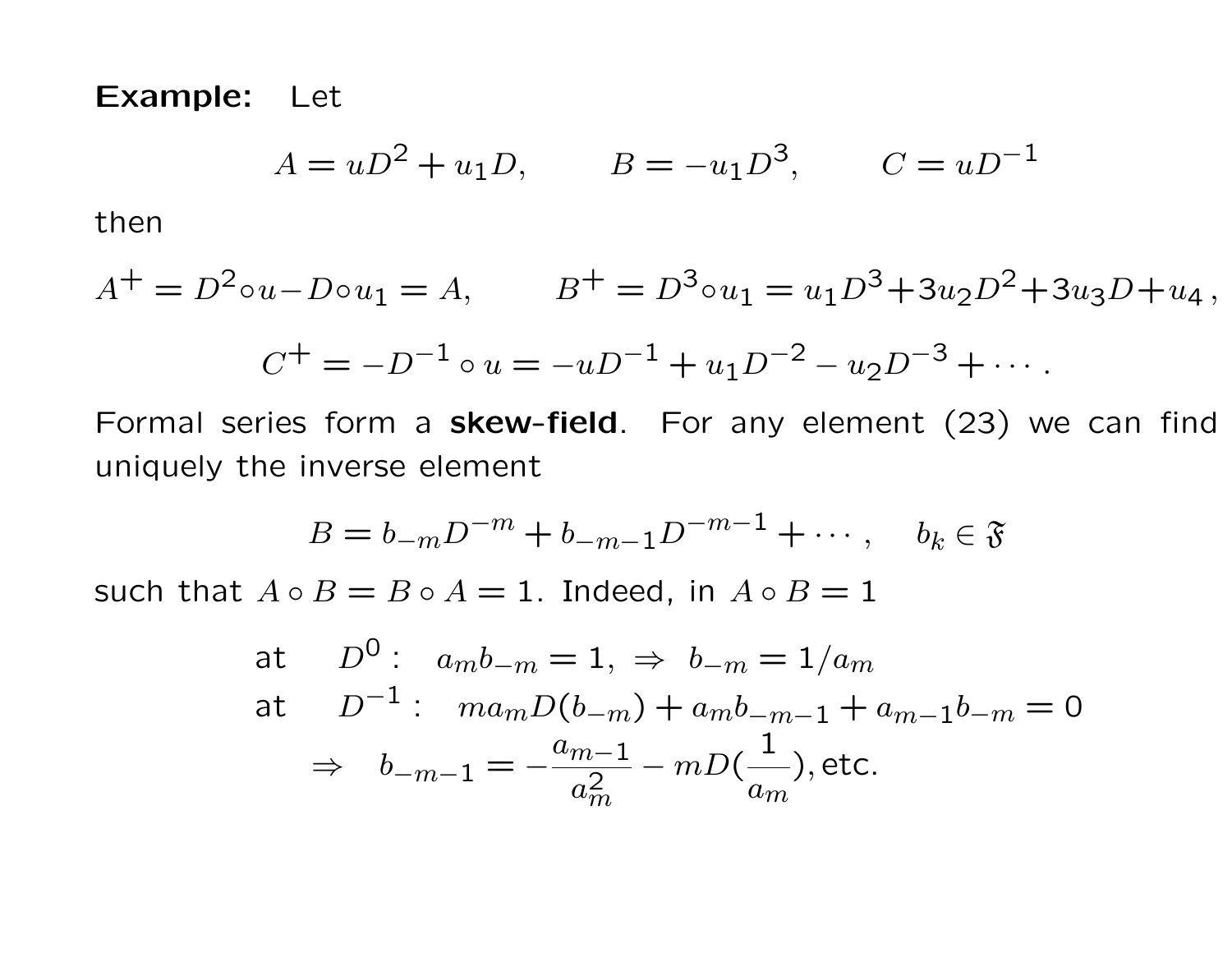Example: Let

$$
A = uD^2 + u_1D, \qquad B = -u_1D^3, \qquad C = uD^{-1}
$$

then

$$
A^{+} = D^{2} \circ u - D \circ u_{1} = A, \qquad B^{+} = D^{3} \circ u_{1} = u_{1}D^{3} + 3u_{2}D^{2} + 3u_{3}D + u_{4},
$$

$$
C^{+} = -D^{-1} \circ u = -uD^{-1} + u_{1}D^{-2} - u_{2}D^{-3} + \cdots.
$$

Formal series form a skew-field. For any element (23) we can find uniquely the inverse element

$$
B = b_{-m}D^{-m} + b_{-m-1}D^{-m-1} + \cdots, \quad b_k \in \mathfrak{F}
$$

such that  $A \circ B = B \circ A = 1$ . Indeed, in  $A \circ B = 1$ 

at 
$$
D^0
$$
:  $a_m b_{-m} = 1$ ,  $\Rightarrow b_{-m} = 1/a_m$   
at  $D^{-1}$ :  $ma_m D(b_{-m}) + a_m b_{-m-1} + a_{m-1} b_{-m} = 0$   
 $\Rightarrow b_{-m-1} = -\frac{a_{m-1}}{a_m^2} - m D(\frac{1}{a_m})$ , etc.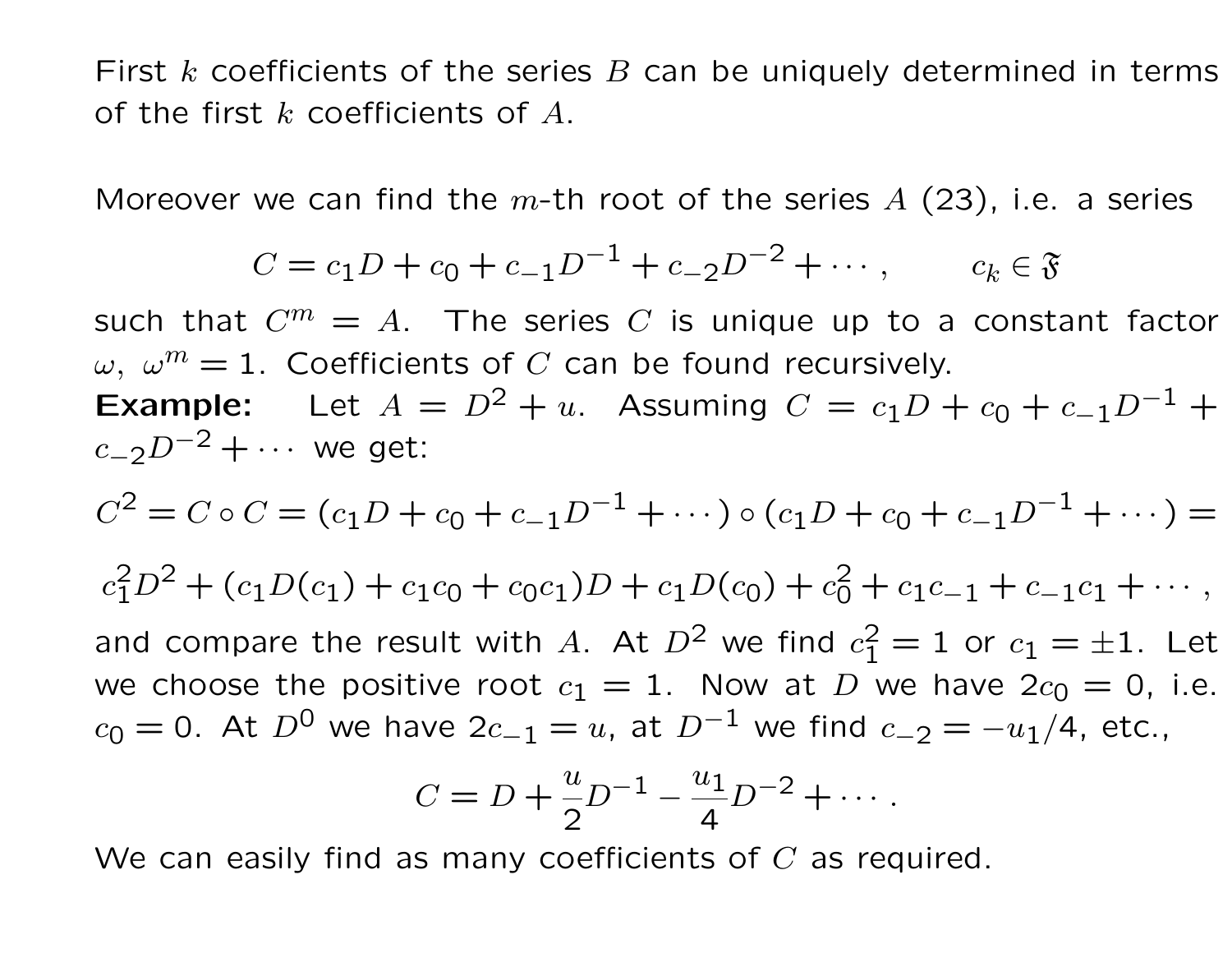First k coefficients of the series B can be uniquely determined in terms of the first  $k$  coefficients of  $A$ .

Moreover we can find the  $m$ -th root of the series  $A$  (23), i.e. a series

$$
C = c_1 D + c_0 + c_{-1} D^{-1} + c_{-2} D^{-2} + \cdots, \qquad c_k \in \mathfrak{F}
$$

such that  $C^m = A$ . The series C is unique up to a constant factor  $\omega, \ \omega^m = 1.$  Coefficients of C can be found recursively. **Example:** Let  $A = D^2 + u$ . Assuming  $C = c_1D + c_0 + c_{-1}D^{-1}$  +  $c_{-2}D^{-2} + \cdots$  we get:

$$
C^{2} = C \circ C = (c_{1}D + c_{0} + c_{-1}D^{-1} + \cdots) \circ (c_{1}D + c_{0} + c_{-1}D^{-1} + \cdots) =
$$
  
\n
$$
c_{1}^{2}D^{2} + (c_{1}D(c_{1}) + c_{1}c_{0} + c_{0}c_{1})D + c_{1}D(c_{0}) + c_{0}^{2} + c_{1}c_{-1} + c_{-1}c_{1} + \cdots,
$$
  
\nand compare the result with *A* At *D*<sup>2</sup> we find  $c_{1}^{2} - 1$  or  $c_{1} - +1$ . Let

and compare the result with A. At  $D^2$  we find  $c_1^2 = 1$  or  $c_1 = \pm 1$ . Let we choose the positive root  $c_1 = 1$ . Now at D we have  $2c_0 = 0$ , i.e.  $c_0 = 0$ . At  $D^0$  we have  $2c_{-1} = u$ , at  $D^{-1}$  we find  $c_{-2} = -u_1/4$ , etc.,

$$
C = D + \frac{u}{2}D^{-1} - \frac{u_1}{4}D^{-2} + \cdots
$$

We can easily find as many coefficients of  $C$  as required.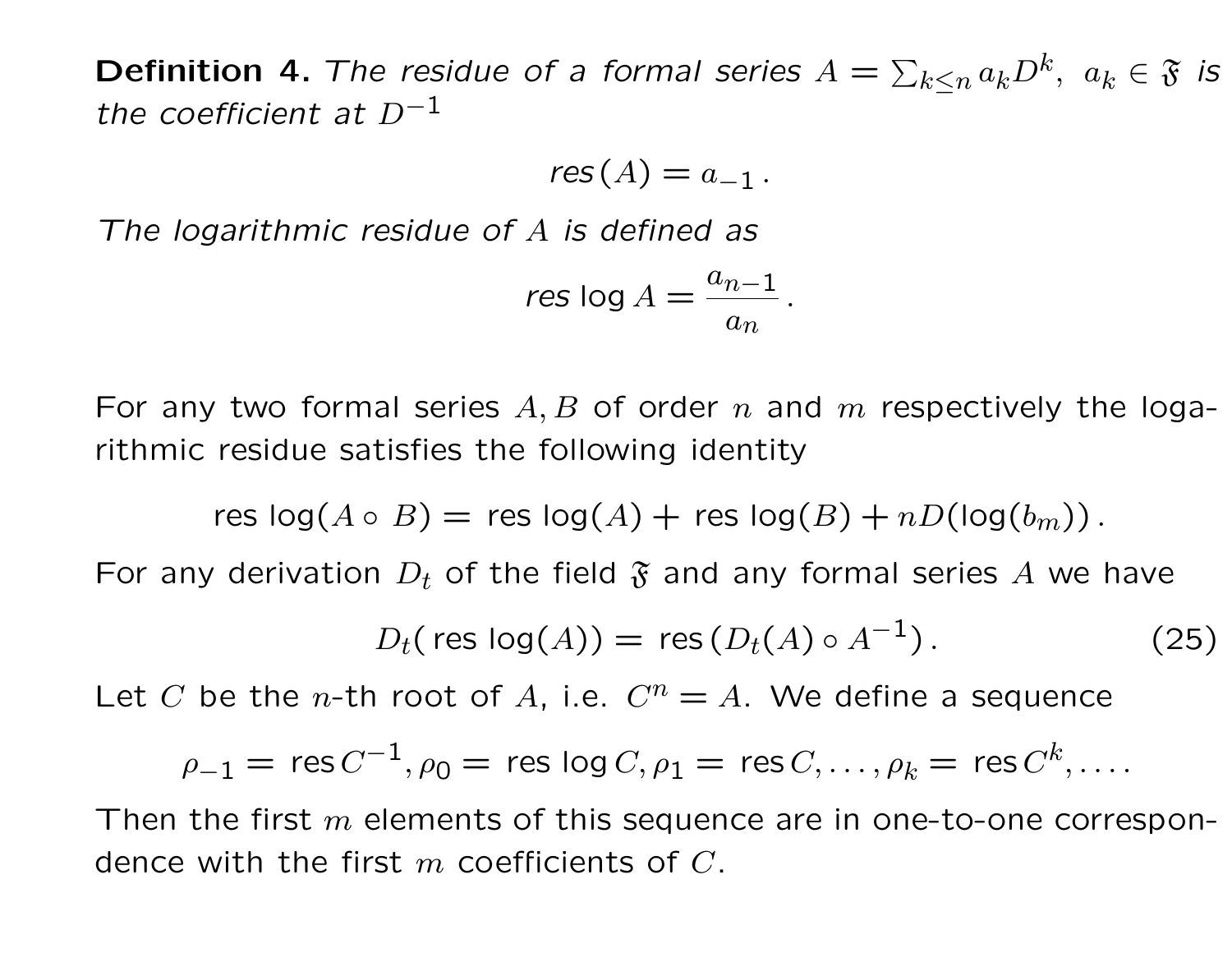**Definition 4.** The residue of a formal series  $A = \sum_{k \leq n} a_k D^k, \ a_k \in \mathfrak{F}$  is the coefficient at  $D^{-1}$ 

$$
res(A)=a_{-1}.
$$

The logarithmic residue of A is defined as

$$
res \log A = \frac{a_{n-1}}{a_n}.
$$

For any two formal series  $A, B$  of order n and m respectively the logarithmic residue satisfies the following identity

res  $log(A \circ B) =$  res  $log(A) +$  res  $log(B) + nD(log(b_m))$ .

For any derivation  $D_t$  of the field  $\mathfrak F$  and any formal series A we have

$$
D_t(\text{res log}(A)) = \text{res}(D_t(A) \circ A^{-1}). \tag{25}
$$

Let C be the *n*-th root of A, i.e.  $C^n = A$ . We define a sequence

$$
\rho_{-1} = \operatorname{res} C^{-1}, \rho_0 = \operatorname{res} \operatorname{log} C, \rho_1 = \operatorname{res} C, \dots, \rho_k = \operatorname{res} C^k, \dots
$$

Then the first  $m$  elements of this sequence are in one-to-one correspondence with the first  $m$  coefficients of  $C$ .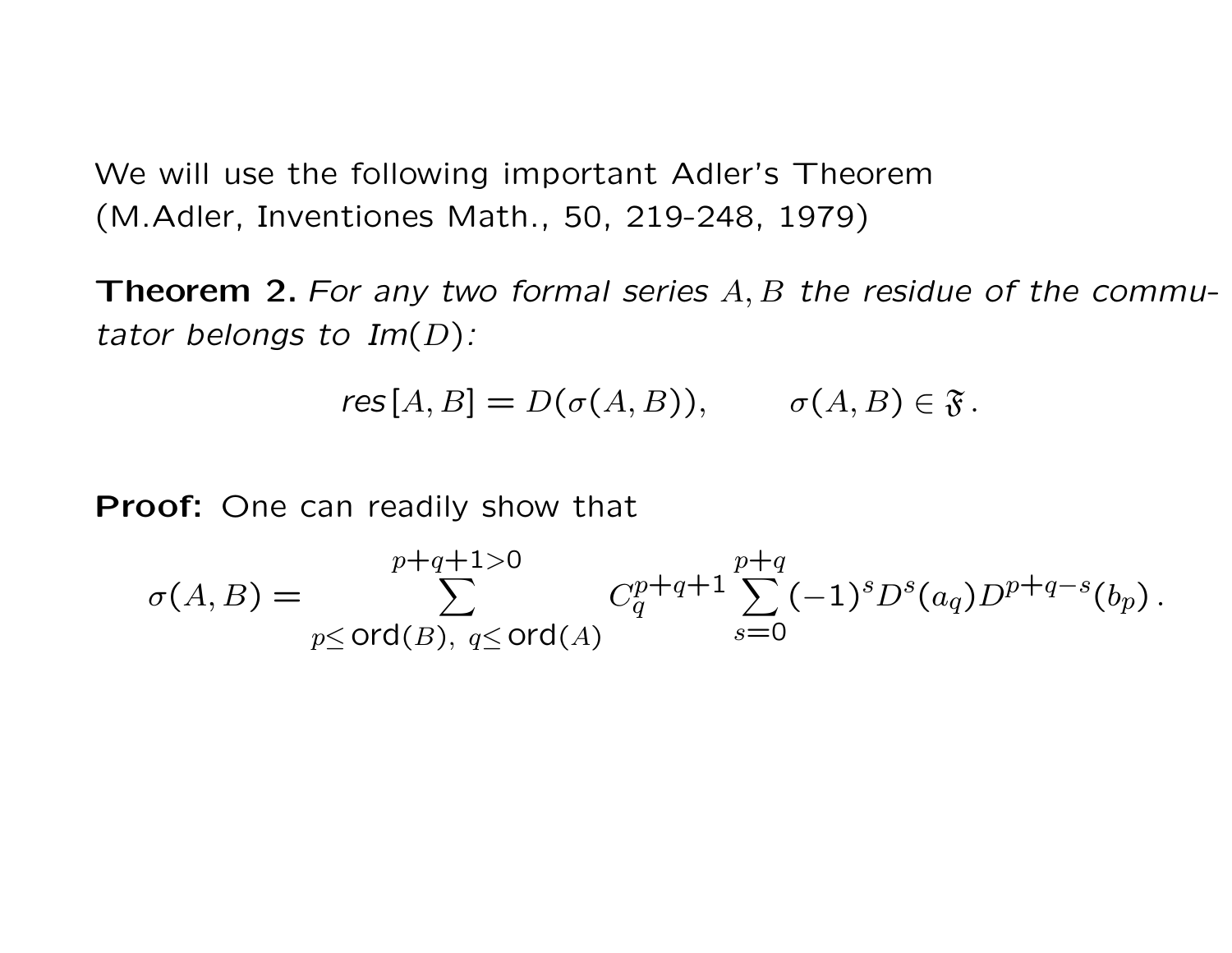We will use the following important Adler's Theorem (M.Adler, Inventiones Math., 50, 219-248, 1979)

**Theorem 2.** For any two formal series  $A, B$  the residue of the commutator belongs to  $Im(D)$ :

$$
res[A, B] = D(\sigma(A, B)), \qquad \sigma(A, B) \in \mathfrak{F}.
$$

Proof: One can readily show that

$$
\sigma(A,B) = \sum_{p \leq \text{ord}(B), q \leq \text{ord}(A)}^{p+q+1>0} C_q^{p+q+1} \sum_{s=0}^{p+q} (-1)^s D^s(a_q) D^{p+q-s}(b_p).
$$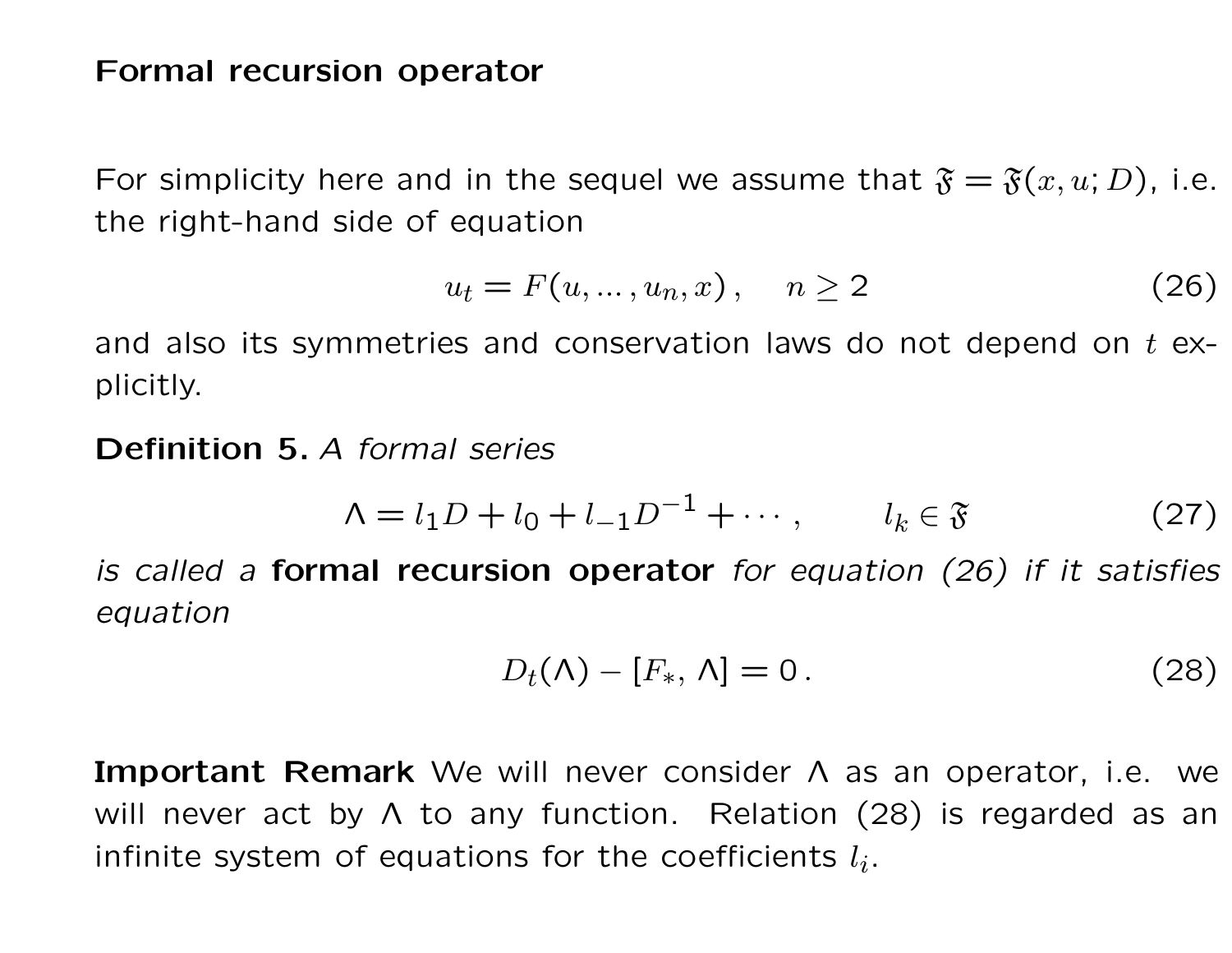## Formal recursion operator

For simplicity here and in the sequel we assume that  $\mathfrak{F} = \mathfrak{F}(x, u; D)$ , i.e. the right-hand side of equation

$$
u_t = F(u, \dots, u_n, x), \quad n \ge 2 \tag{26}
$$

and also its symmetries and conservation laws do not depend on  $t$  explicitly.

Definition 5. A formal series

$$
\Lambda = l_1 D + l_0 + l_{-1} D^{-1} + \cdots, \qquad l_k \in \mathfrak{F} \tag{27}
$$

is called a formal recursion operator for equation  $(26)$  if it satisfies equation

$$
D_t(\Lambda) - [F_*, \Lambda] = 0. \qquad (28)
$$

Important Remark We will never consider Λ as an operator, i.e. we will never act by  $\Lambda$  to any function. Relation (28) is regarded as an infinite system of equations for the coefficients  $l_i$ .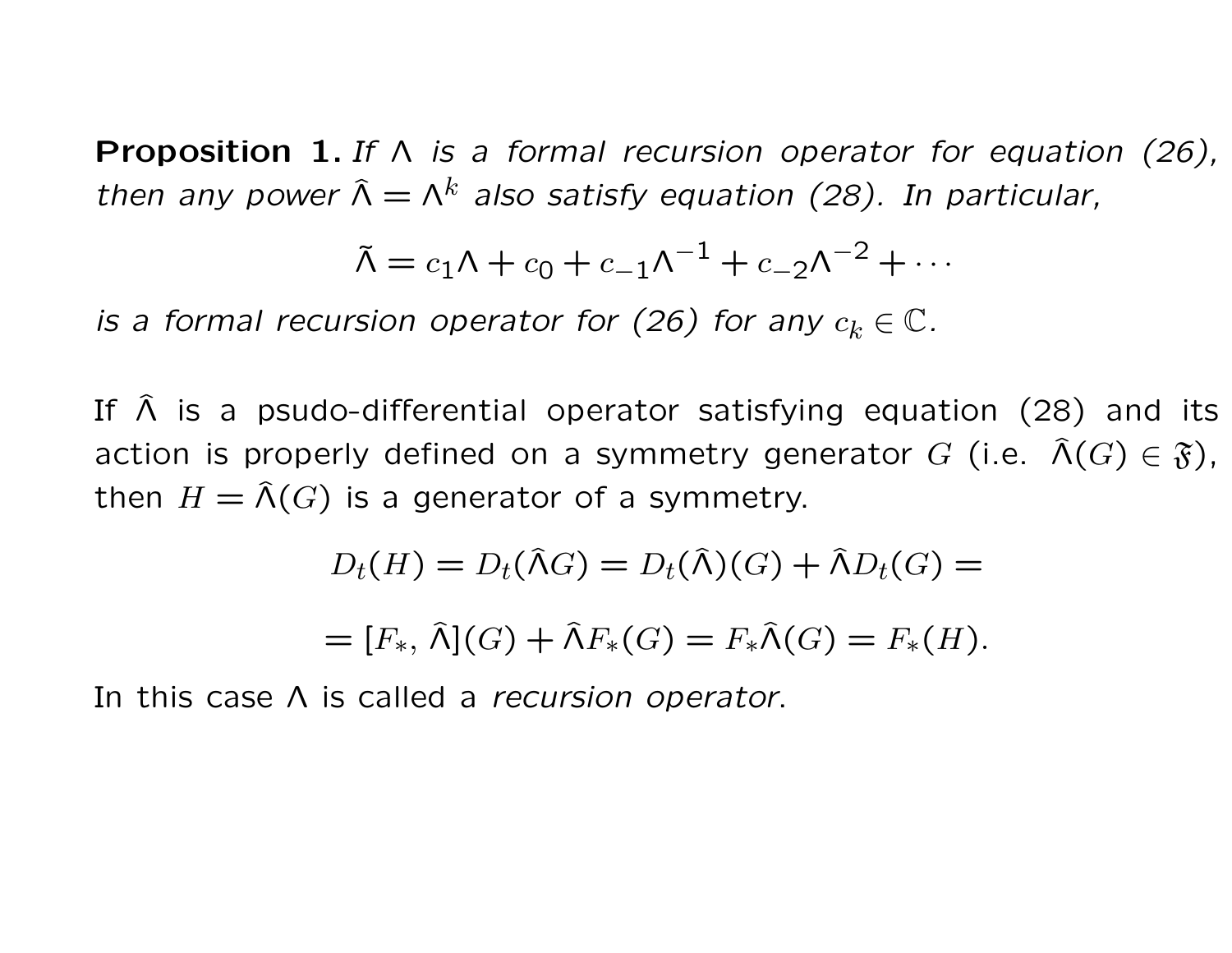**Proposition 1.** If  $\wedge$  is a formal recursion operator for equation (26), then any power  $\hat{\Lambda} = \Lambda^k$  also satisfy equation (28). In particular,

$$
\tilde{\Lambda} = c_1 \Lambda + c_0 + c_{-1} \Lambda^{-1} + c_{-2} \Lambda^{-2} + \cdots
$$

is a formal recursion operator for (26) for any  $c_k \in \mathbb{C}$ .

If  $\hat{\Lambda}$  is a psudo-differential operator satisfying equation (28) and its action is properly defined on a symmetry generator G (i.e.  $\widehat{\Lambda}(G) \in \mathfrak{F}$ ), then  $H = \widehat{\Lambda}(G)$  is a generator of a symmetry.

$$
D_t(H) = D_t(\hat{\Lambda}G) = D_t(\hat{\Lambda})(G) + \hat{\Lambda}D_t(G) =
$$

$$
= [F_*, \widehat{\Lambda}](G) + \widehat{\Lambda}F_*(G) = F_*\widehat{\Lambda}(G) = F_*(H).
$$

In this case A is called a recursion operator.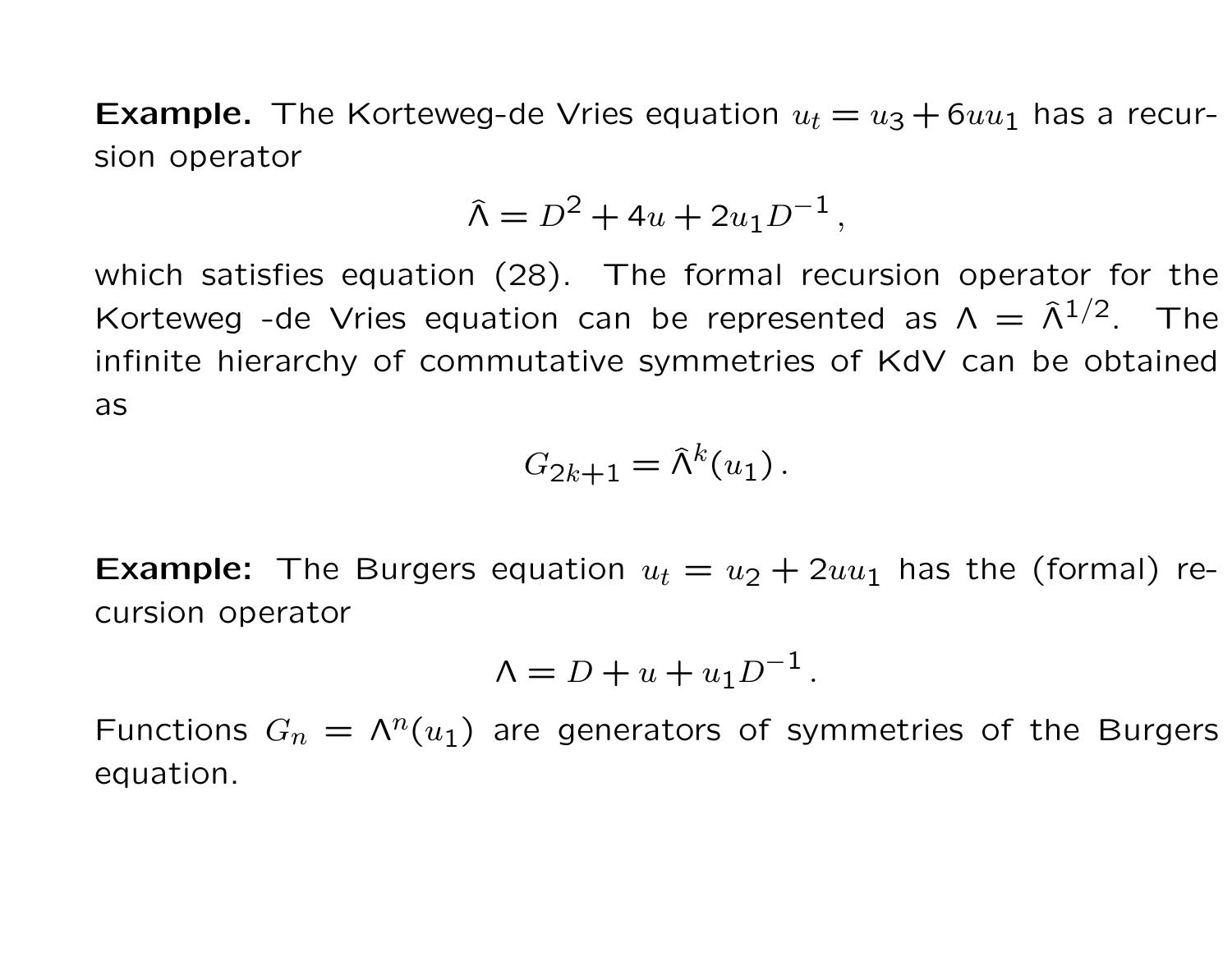**Example.** The Korteweg-de Vries equation  $u_t = u_3 + 6uu_1$  has a recursion operator

$$
\hat{\Lambda} = D^2 + 4u + 2u_1D^{-1},
$$

which satisfies equation (28). The formal recursion operator for the Korteweg -de Vries equation can be represented as  $\Lambda = \hat{\Lambda}^{1/2}$ . The infinite hierarchy of commutative symmetries of KdV can be obtained as

$$
G_{2k+1} = \hat{\Lambda}^k(u_1).
$$

**Example:** The Burgers equation  $u_t = u_2 + 2uu_1$  has the (formal) recursion operator

$$
\Lambda = D + u + u_1 D^{-1}.
$$

Functions  $G_n = \Lambda^n(u_1)$  are generators of symmetries of the Burgers equation.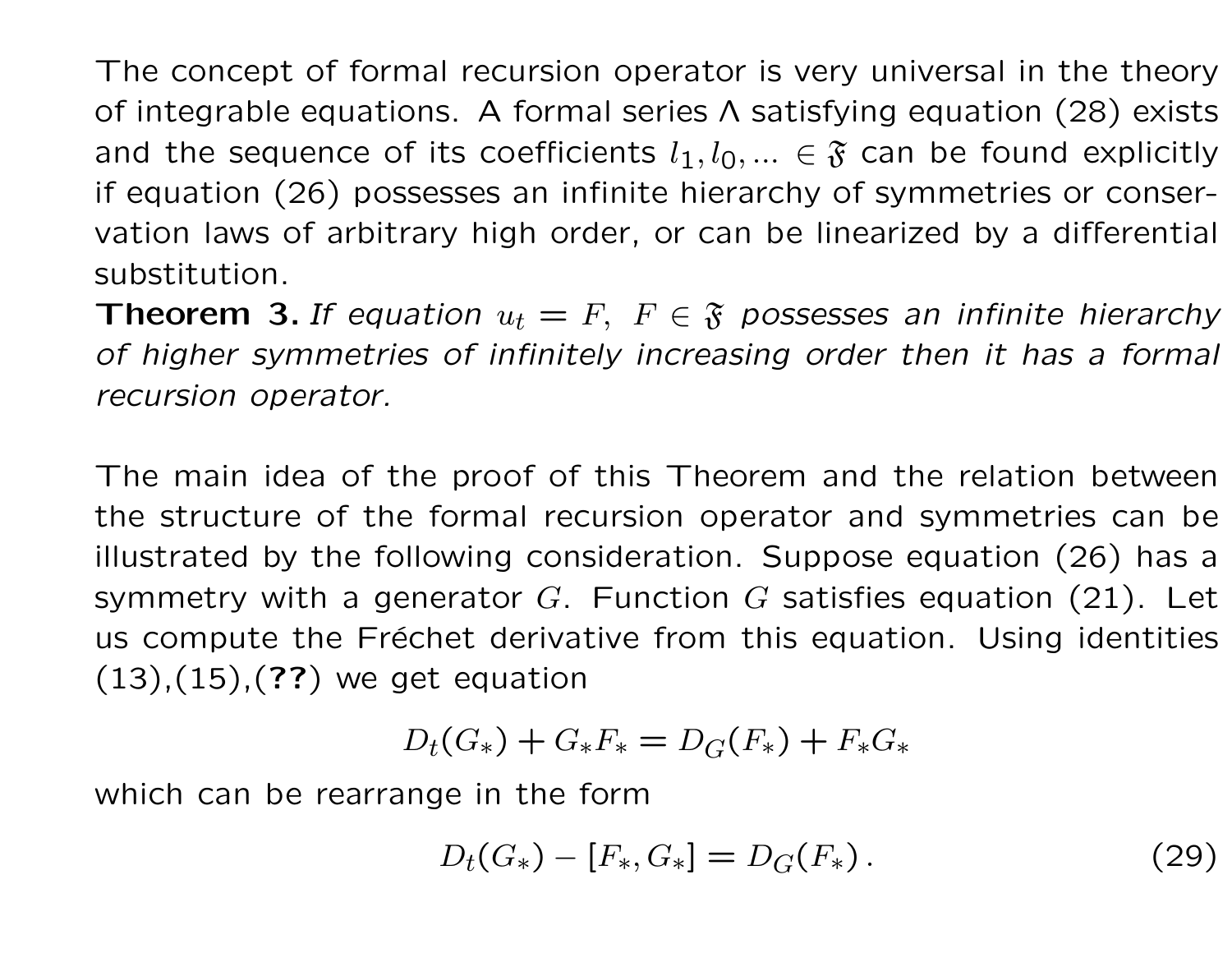The concept of formal recursion operator is very universal in the theory of integrable equations. A formal series Λ satisfying equation (28) exists and the sequence of its coefficients  $l_1, l_0, ... \in \mathfrak{F}$  can be found explicitly if equation (26) possesses an infinite hierarchy of symmetries or conservation laws of arbitrary high order, or can be linearized by a differential substitution.

**Theorem 3.** If equation  $u_t = F$ ,  $F \in \mathfrak{F}$  possesses an infinite hierarchy of higher symmetries of infinitely increasing order then it has a formal recursion operator.

The main idea of the proof of this Theorem and the relation between the structure of the formal recursion operator and symmetries can be illustrated by the following consideration. Suppose equation (26) has a symmetry with a generator G. Function G satisfies equation  $(21)$ . Let us compute the Fréchet derivative from this equation. Using identities  $(13), (15), (??)$  we get equation

$$
D_t(G_*) + G_*F_* = D_G(F_*) + F_*G_*
$$

which can be rearrange in the form

$$
D_t(G_*) - [F_*, G_*] = D_G(F_*). \tag{29}
$$